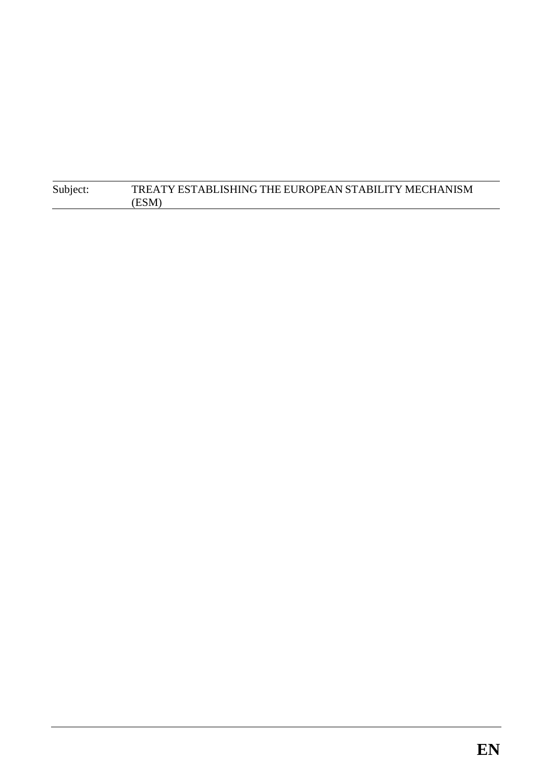| Subject: | TREATY ESTABLISHING THE EUROPEAN STABILITY MECHANISM |
|----------|------------------------------------------------------|
|          | (ESM)                                                |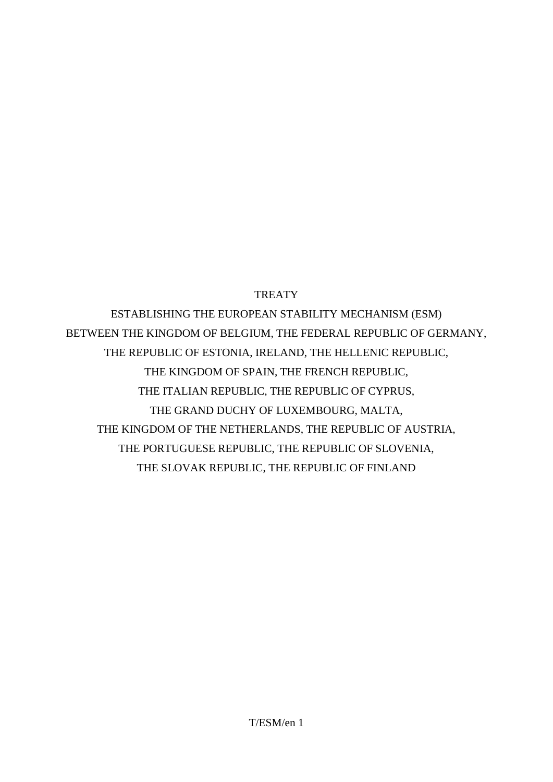**TREATY** 

ESTABLISHING THE EUROPEAN STABILITY MECHANISM (ESM) BETWEEN THE KINGDOM OF BELGIUM, THE FEDERAL REPUBLIC OF GERMANY, THE REPUBLIC OF ESTONIA, IRELAND, THE HELLENIC REPUBLIC, THE KINGDOM OF SPAIN, THE FRENCH REPUBLIC, THE ITALIAN REPUBLIC, THE REPUBLIC OF CYPRUS, THE GRAND DUCHY OF LUXEMBOURG, MALTA, THE KINGDOM OF THE NETHERLANDS, THE REPUBLIC OF AUSTRIA, THE PORTUGUESE REPUBLIC, THE REPUBLIC OF SLOVENIA, THE SLOVAK REPUBLIC, THE REPUBLIC OF FINLAND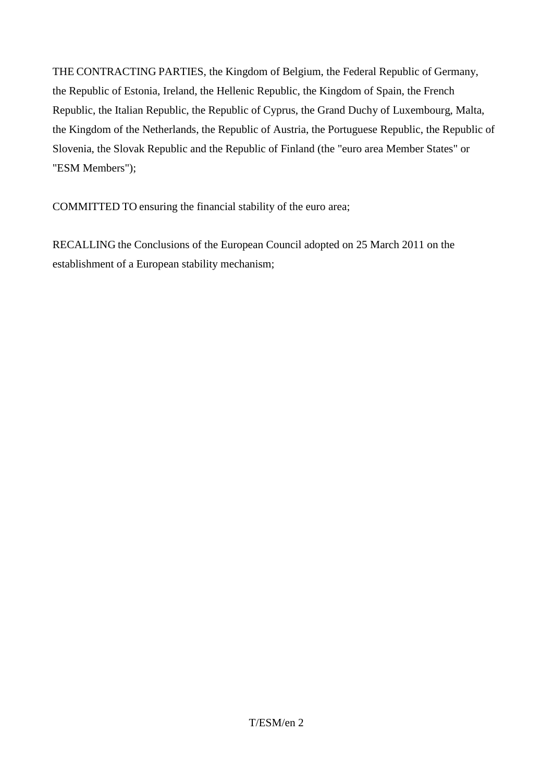THE CONTRACTING PARTIES, the Kingdom of Belgium, the Federal Republic of Germany, the Republic of Estonia, Ireland, the Hellenic Republic, the Kingdom of Spain, the French Republic, the Italian Republic, the Republic of Cyprus, the Grand Duchy of Luxembourg, Malta, the Kingdom of the Netherlands, the Republic of Austria, the Portuguese Republic, the Republic of Slovenia, the Slovak Republic and the Republic of Finland (the "euro area Member States" or "ESM Members");

COMMITTED TO ensuring the financial stability of the euro area;

RECALLING the Conclusions of the European Council adopted on 25 March 2011 on the establishment of a European stability mechanism;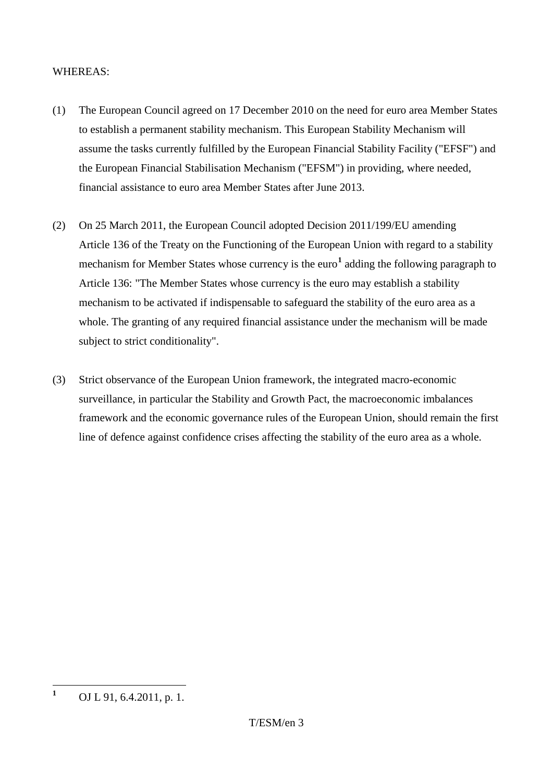### WHEREAS:

- (1) The European Council agreed on 17 December 2010 on the need for euro area Member States to establish a permanent stability mechanism. This European Stability Mechanism will assume the tasks currently fulfilled by the European Financial Stability Facility ("EFSF") and the European Financial Stabilisation Mechanism ("EFSM") in providing, where needed, financial assistance to euro area Member States after June 2013.
- (2) On 25 March 2011, the European Council adopted Decision 2011/199/EU amending Article 136 of the Treaty on the Functioning of the European Union with regard to a stability mechanism for Member States whose currency is the euro<sup>[1](#page-3-0)</sup> adding the following paragraph to Article 136: "The Member States whose currency is the euro may establish a stability mechanism to be activated if indispensable to safeguard the stability of the euro area as a whole. The granting of any required financial assistance under the mechanism will be made subject to strict conditionality".
- (3) Strict observance of the European Union framework, the integrated macro-economic surveillance, in particular the Stability and Growth Pact, the macroeconomic imbalances framework and the economic governance rules of the European Union, should remain the first line of defence against confidence crises affecting the stability of the euro area as a whole.

<span id="page-3-0"></span>**<sup>1</sup>** OJ L 91, 6.4.2011, p. 1.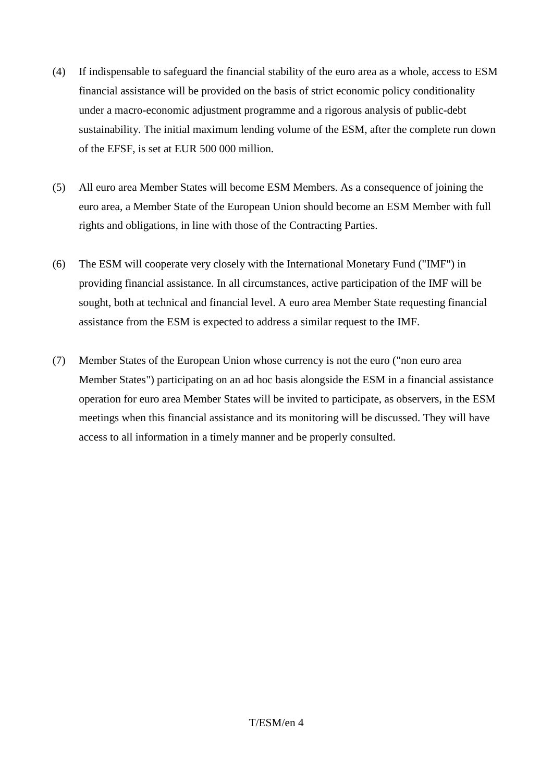- (4) If indispensable to safeguard the financial stability of the euro area as a whole, access to ESM financial assistance will be provided on the basis of strict economic policy conditionality under a macro-economic adjustment programme and a rigorous analysis of public-debt sustainability. The initial maximum lending volume of the ESM, after the complete run down of the EFSF, is set at EUR 500 000 million.
- (5) All euro area Member States will become ESM Members. As a consequence of joining the euro area, a Member State of the European Union should become an ESM Member with full rights and obligations, in line with those of the Contracting Parties.
- (6) The ESM will cooperate very closely with the International Monetary Fund ("IMF") in providing financial assistance. In all circumstances, active participation of the IMF will be sought, both at technical and financial level. A euro area Member State requesting financial assistance from the ESM is expected to address a similar request to the IMF.
- (7) Member States of the European Union whose currency is not the euro ("non euro area Member States") participating on an ad hoc basis alongside the ESM in a financial assistance operation for euro area Member States will be invited to participate, as observers, in the ESM meetings when this financial assistance and its monitoring will be discussed. They will have access to all information in a timely manner and be properly consulted.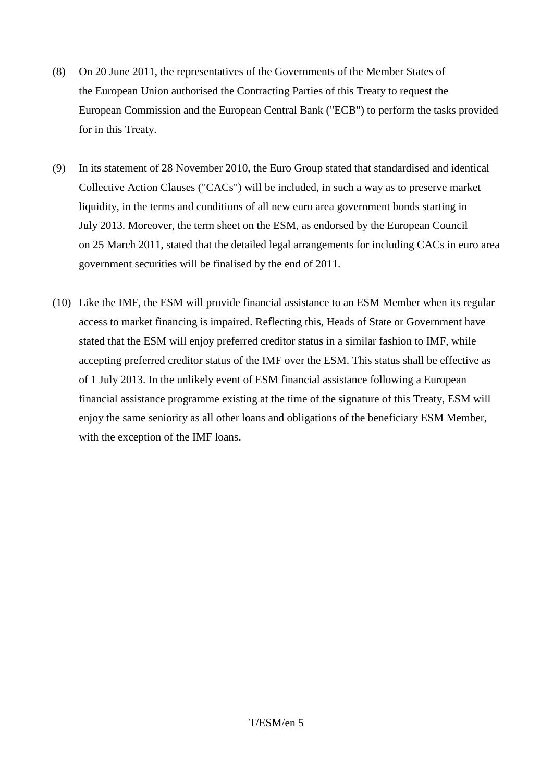- (8) On 20 June 2011, the representatives of the Governments of the Member States of the European Union authorised the Contracting Parties of this Treaty to request the European Commission and the European Central Bank ("ECB") to perform the tasks provided for in this Treaty.
- (9) In its statement of 28 November 2010, the Euro Group stated that standardised and identical Collective Action Clauses ("CACs") will be included, in such a way as to preserve market liquidity, in the terms and conditions of all new euro area government bonds starting in July 2013. Moreover, the term sheet on the ESM, as endorsed by the European Council on 25 March 2011, stated that the detailed legal arrangements for including CACs in euro area government securities will be finalised by the end of 2011.
- (10) Like the IMF, the ESM will provide financial assistance to an ESM Member when its regular access to market financing is impaired. Reflecting this, Heads of State or Government have stated that the ESM will enjoy preferred creditor status in a similar fashion to IMF, while accepting preferred creditor status of the IMF over the ESM. This status shall be effective as of 1 July 2013. In the unlikely event of ESM financial assistance following a European financial assistance programme existing at the time of the signature of this Treaty, ESM will enjoy the same seniority as all other loans and obligations of the beneficiary ESM Member, with the exception of the IMF loans.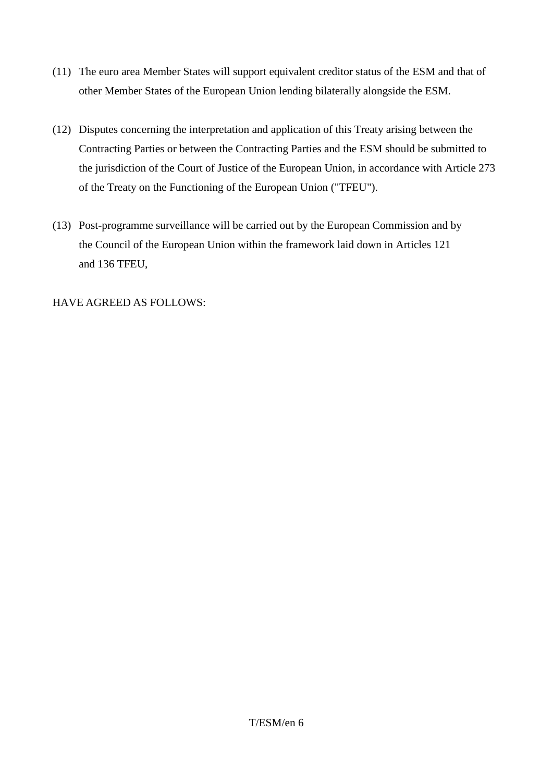- (11) The euro area Member States will support equivalent creditor status of the ESM and that of other Member States of the European Union lending bilaterally alongside the ESM.
- (12) Disputes concerning the interpretation and application of this Treaty arising between the Contracting Parties or between the Contracting Parties and the ESM should be submitted to the jurisdiction of the Court of Justice of the European Union, in accordance with Article 273 of the Treaty on the Functioning of the European Union ("TFEU").
- (13) Post-programme surveillance will be carried out by the European Commission and by the Council of the European Union within the framework laid down in Articles 121 and 136 TFEU,

### HAVE AGREED AS FOLLOWS: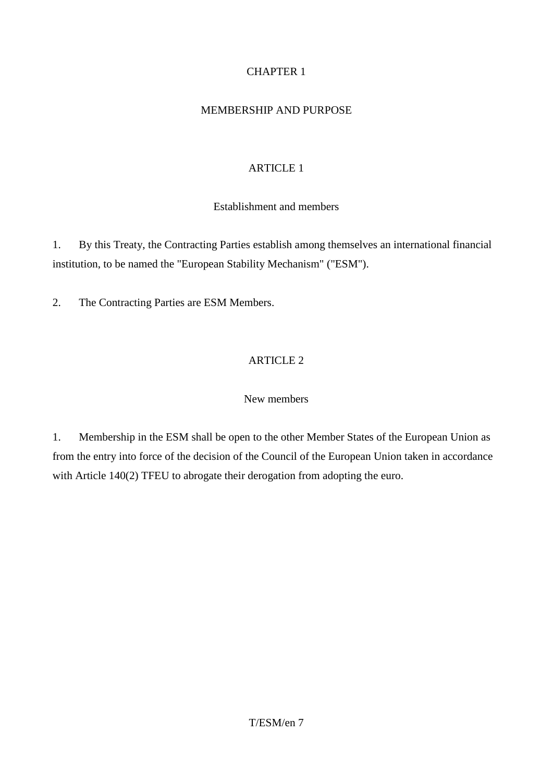# CHAPTER 1

### MEMBERSHIP AND PURPOSE

# ARTICLE 1

### Establishment and members

1. By this Treaty, the Contracting Parties establish among themselves an international financial institution, to be named the "European Stability Mechanism" ("ESM").

2. The Contracting Parties are ESM Members.

# ARTICLE 2

### New members

1. Membership in the ESM shall be open to the other Member States of the European Union as from the entry into force of the decision of the Council of the European Union taken in accordance with Article 140(2) TFEU to abrogate their derogation from adopting the euro.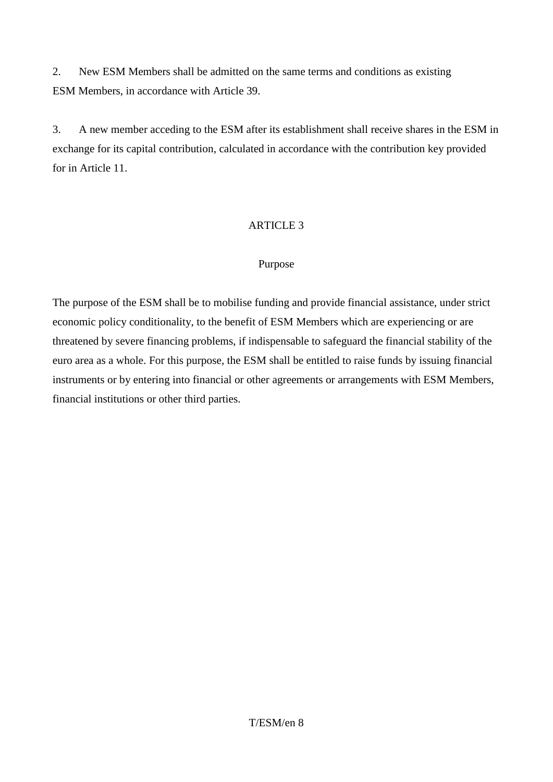2. New ESM Members shall be admitted on the same terms and conditions as existing ESM Members, in accordance with Article 39.

3. A new member acceding to the ESM after its establishment shall receive shares in the ESM in exchange for its capital contribution, calculated in accordance with the contribution key provided for in Article 11.

### ARTICLE 3

### Purpose

The purpose of the ESM shall be to mobilise funding and provide financial assistance, under strict economic policy conditionality, to the benefit of ESM Members which are experiencing or are threatened by severe financing problems, if indispensable to safeguard the financial stability of the euro area as a whole. For this purpose, the ESM shall be entitled to raise funds by issuing financial instruments or by entering into financial or other agreements or arrangements with ESM Members, financial institutions or other third parties.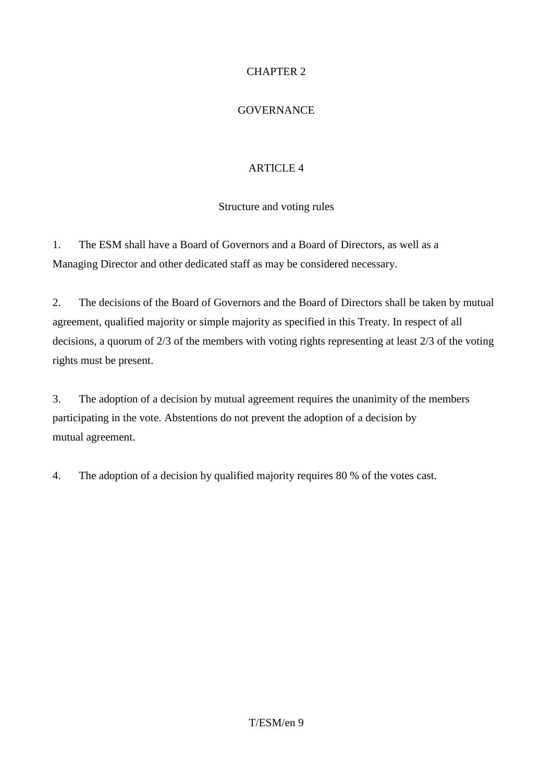# CHAPTER 2

### **GOVERNANCE**

# ARTICLE 4

### Structure and voting rules

1. The ESM shall have a Board of Governors and a Board of Directors, as well as a Managing Director and other dedicated staff as may be considered necessary.

2. The decisions of the Board of Governors and the Board of Directors shall be taken by mutual agreement, qualified majority or simple majority as specified in this Treaty. In respect of all decisions, a quorum of 2/3 of the members with voting rights representing at least 2/3 of the voting rights must be present.

3. The adoption of a decision by mutual agreement requires the unanimity of the members participating in the vote. Abstentions do not prevent the adoption of a decision by mutual agreement.

4. The adoption of a decision by qualified majority requires 80 % of the votes cast.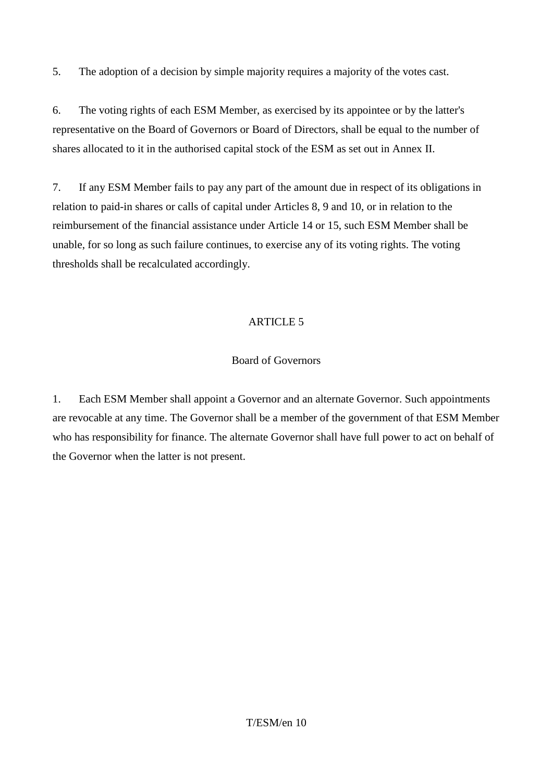5. The adoption of a decision by simple majority requires a majority of the votes cast.

6. The voting rights of each ESM Member, as exercised by its appointee or by the latter's representative on the Board of Governors or Board of Directors, shall be equal to the number of shares allocated to it in the authorised capital stock of the ESM as set out in Annex II.

7. If any ESM Member fails to pay any part of the amount due in respect of its obligations in relation to paid-in shares or calls of capital under Articles 8, 9 and 10, or in relation to the reimbursement of the financial assistance under Article 14 or 15, such ESM Member shall be unable, for so long as such failure continues, to exercise any of its voting rights. The voting thresholds shall be recalculated accordingly.

# ARTICLE 5

# Board of Governors

1. Each ESM Member shall appoint a Governor and an alternate Governor. Such appointments are revocable at any time. The Governor shall be a member of the government of that ESM Member who has responsibility for finance. The alternate Governor shall have full power to act on behalf of the Governor when the latter is not present.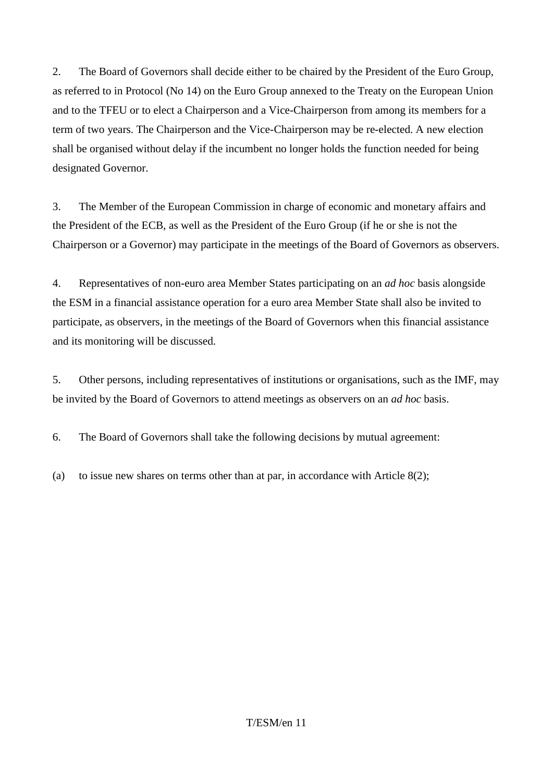2. The Board of Governors shall decide either to be chaired by the President of the Euro Group, as referred to in Protocol (No 14) on the Euro Group annexed to the Treaty on the European Union and to the TFEU or to elect a Chairperson and a Vice-Chairperson from among its members for a term of two years. The Chairperson and the Vice-Chairperson may be re-elected. A new election shall be organised without delay if the incumbent no longer holds the function needed for being designated Governor.

3. The Member of the European Commission in charge of economic and monetary affairs and the President of the ECB, as well as the President of the Euro Group (if he or she is not the Chairperson or a Governor) may participate in the meetings of the Board of Governors as observers.

4. Representatives of non-euro area Member States participating on an *ad hoc* basis alongside the ESM in a financial assistance operation for a euro area Member State shall also be invited to participate, as observers, in the meetings of the Board of Governors when this financial assistance and its monitoring will be discussed.

5. Other persons, including representatives of institutions or organisations, such as the IMF, may be invited by the Board of Governors to attend meetings as observers on an *ad hoc* basis.

6. The Board of Governors shall take the following decisions by mutual agreement:

(a) to issue new shares on terms other than at par, in accordance with Article 8(2);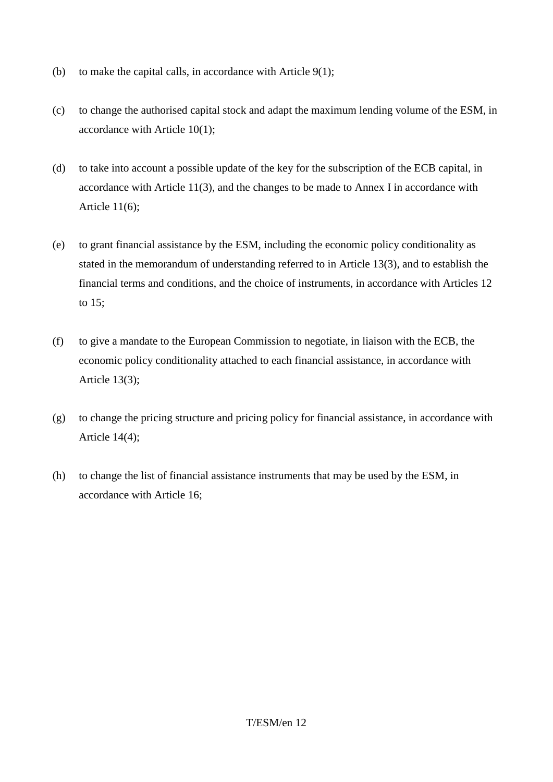- (b) to make the capital calls, in accordance with Article 9(1);
- (c) to change the authorised capital stock and adapt the maximum lending volume of the ESM, in accordance with Article 10(1);
- (d) to take into account a possible update of the key for the subscription of the ECB capital, in accordance with Article 11(3), and the changes to be made to Annex I in accordance with Article 11(6);
- (e) to grant financial assistance by the ESM, including the economic policy conditionality as stated in the memorandum of understanding referred to in Article 13(3), and to establish the financial terms and conditions, and the choice of instruments, in accordance with Articles 12 to 15;
- (f) to give a mandate to the European Commission to negotiate, in liaison with the ECB, the economic policy conditionality attached to each financial assistance, in accordance with Article 13(3);
- (g) to change the pricing structure and pricing policy for financial assistance, in accordance with Article 14(4);
- (h) to change the list of financial assistance instruments that may be used by the ESM, in accordance with Article 16;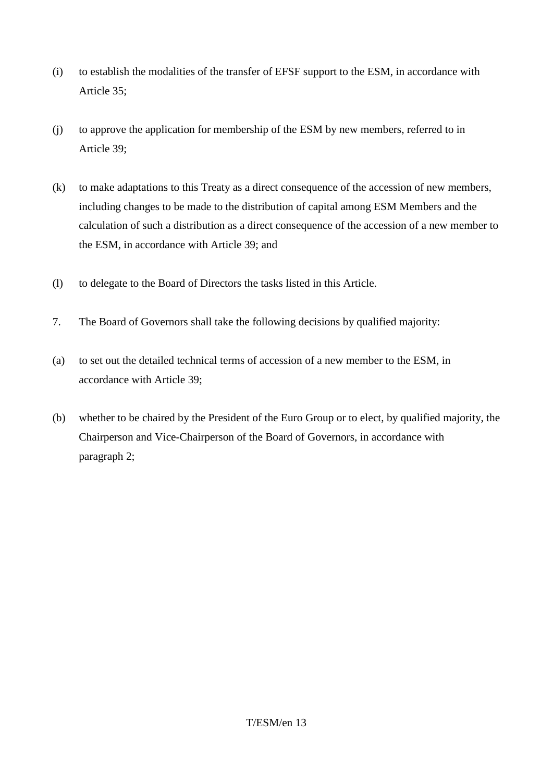- (i) to establish the modalities of the transfer of EFSF support to the ESM, in accordance with Article 35;
- (j) to approve the application for membership of the ESM by new members, referred to in Article 39;
- (k) to make adaptations to this Treaty as a direct consequence of the accession of new members, including changes to be made to the distribution of capital among ESM Members and the calculation of such a distribution as a direct consequence of the accession of a new member to the ESM, in accordance with Article 39; and
- (l) to delegate to the Board of Directors the tasks listed in this Article.
- 7. The Board of Governors shall take the following decisions by qualified majority:
- (a) to set out the detailed technical terms of accession of a new member to the ESM, in accordance with Article 39;
- (b) whether to be chaired by the President of the Euro Group or to elect, by qualified majority, the Chairperson and Vice-Chairperson of the Board of Governors, in accordance with paragraph 2;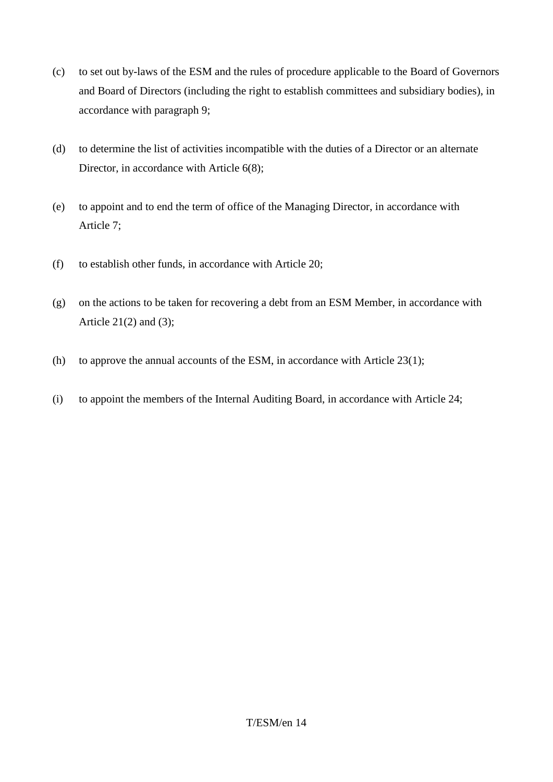- (c) to set out by-laws of the ESM and the rules of procedure applicable to the Board of Governors and Board of Directors (including the right to establish committees and subsidiary bodies), in accordance with paragraph 9;
- (d) to determine the list of activities incompatible with the duties of a Director or an alternate Director, in accordance with Article 6(8);
- (e) to appoint and to end the term of office of the Managing Director, in accordance with Article 7;
- (f) to establish other funds, in accordance with Article 20;
- (g) on the actions to be taken for recovering a debt from an ESM Member, in accordance with Article  $21(2)$  and  $(3)$ ;
- (h) to approve the annual accounts of the ESM, in accordance with Article 23(1);
- (i) to appoint the members of the Internal Auditing Board, in accordance with Article 24;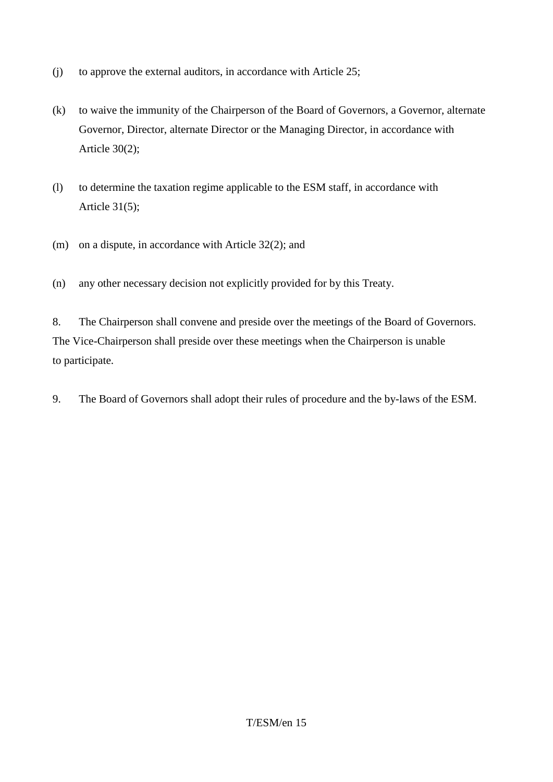- (j) to approve the external auditors, in accordance with Article 25;
- (k) to waive the immunity of the Chairperson of the Board of Governors, a Governor, alternate Governor, Director, alternate Director or the Managing Director, in accordance with Article 30(2);
- (l) to determine the taxation regime applicable to the ESM staff, in accordance with Article 31(5);
- (m) on a dispute, in accordance with Article 32(2); and
- (n) any other necessary decision not explicitly provided for by this Treaty.

8. The Chairperson shall convene and preside over the meetings of the Board of Governors. The Vice-Chairperson shall preside over these meetings when the Chairperson is unable to participate.

9. The Board of Governors shall adopt their rules of procedure and the by-laws of the ESM.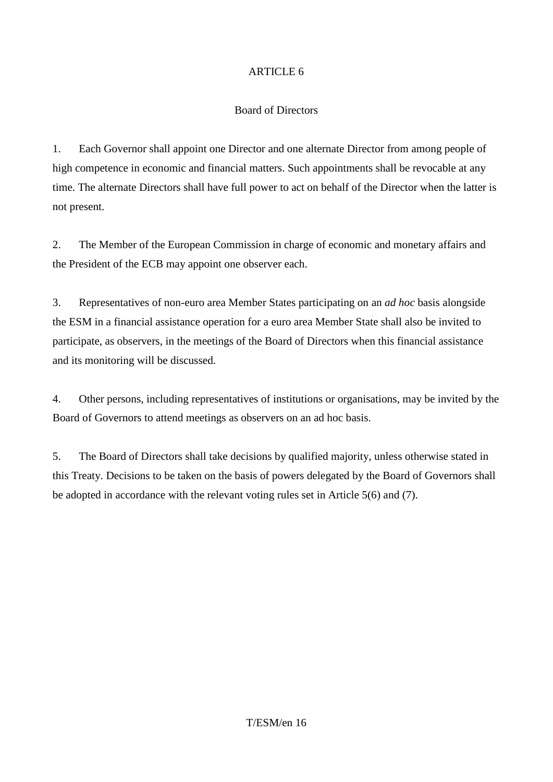### Board of Directors

1. Each Governor shall appoint one Director and one alternate Director from among people of high competence in economic and financial matters. Such appointments shall be revocable at any time. The alternate Directors shall have full power to act on behalf of the Director when the latter is not present.

2. The Member of the European Commission in charge of economic and monetary affairs and the President of the ECB may appoint one observer each.

3. Representatives of non-euro area Member States participating on an *ad hoc* basis alongside the ESM in a financial assistance operation for a euro area Member State shall also be invited to participate, as observers, in the meetings of the Board of Directors when this financial assistance and its monitoring will be discussed.

4. Other persons, including representatives of institutions or organisations, may be invited by the Board of Governors to attend meetings as observers on an ad hoc basis.

5. The Board of Directors shall take decisions by qualified majority, unless otherwise stated in this Treaty. Decisions to be taken on the basis of powers delegated by the Board of Governors shall be adopted in accordance with the relevant voting rules set in Article 5(6) and (7).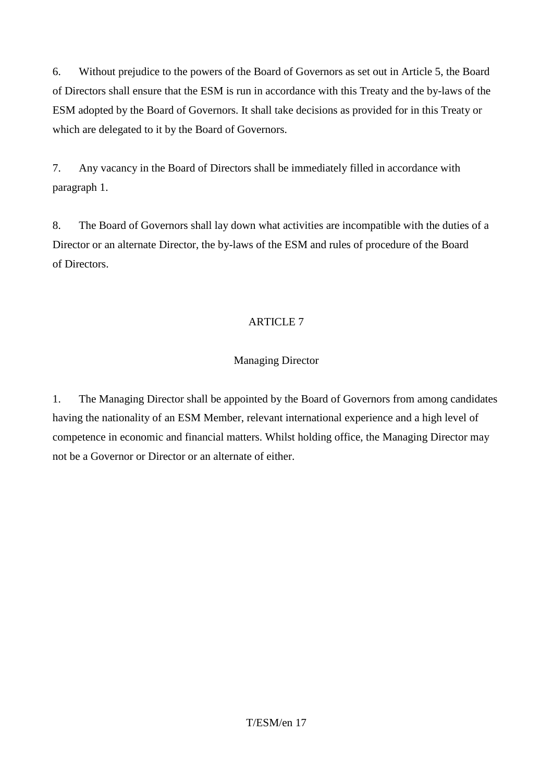6. Without prejudice to the powers of the Board of Governors as set out in Article 5, the Board of Directors shall ensure that the ESM is run in accordance with this Treaty and the by-laws of the ESM adopted by the Board of Governors. It shall take decisions as provided for in this Treaty or which are delegated to it by the Board of Governors.

7. Any vacancy in the Board of Directors shall be immediately filled in accordance with paragraph 1.

8. The Board of Governors shall lay down what activities are incompatible with the duties of a Director or an alternate Director, the by-laws of the ESM and rules of procedure of the Board of Directors.

# ARTICLE 7

# Managing Director

1. The Managing Director shall be appointed by the Board of Governors from among candidates having the nationality of an ESM Member, relevant international experience and a high level of competence in economic and financial matters. Whilst holding office, the Managing Director may not be a Governor or Director or an alternate of either.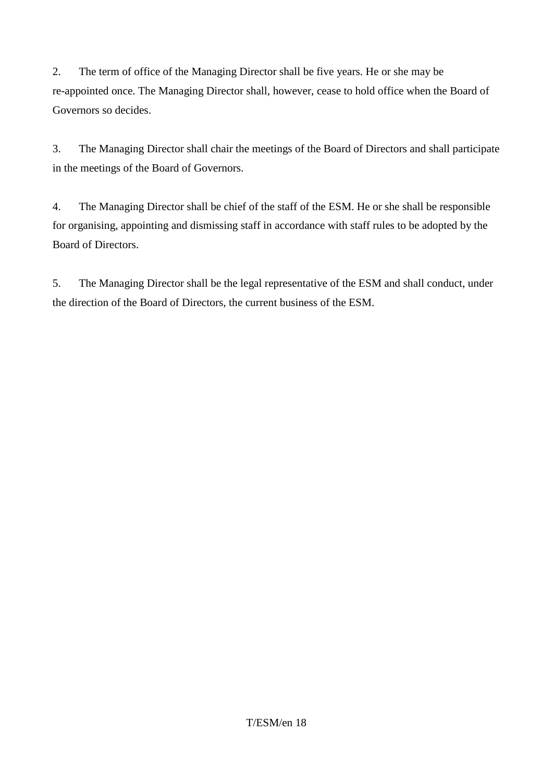2. The term of office of the Managing Director shall be five years. He or she may be re-appointed once. The Managing Director shall, however, cease to hold office when the Board of Governors so decides.

3. The Managing Director shall chair the meetings of the Board of Directors and shall participate in the meetings of the Board of Governors.

4. The Managing Director shall be chief of the staff of the ESM. He or she shall be responsible for organising, appointing and dismissing staff in accordance with staff rules to be adopted by the Board of Directors.

5. The Managing Director shall be the legal representative of the ESM and shall conduct, under the direction of the Board of Directors, the current business of the ESM.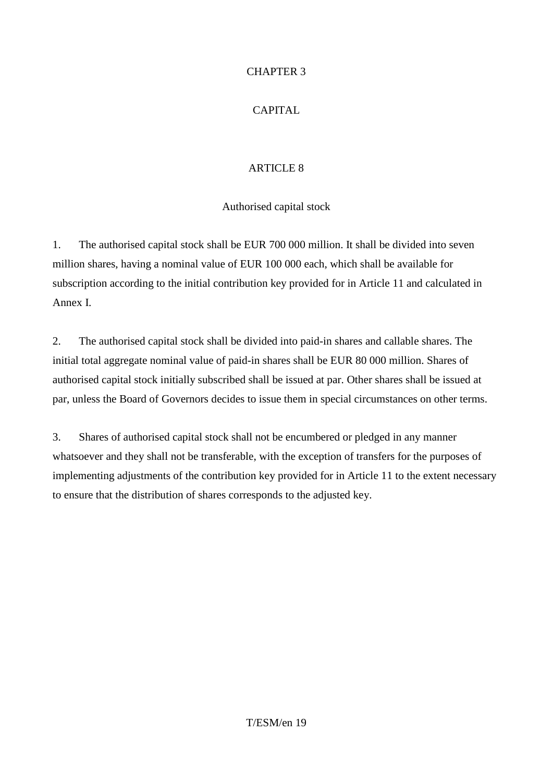### CHAPTER 3

# CAPITAL

# ARTICLE 8

# Authorised capital stock

1. The authorised capital stock shall be EUR 700 000 million. It shall be divided into seven million shares, having a nominal value of EUR 100 000 each, which shall be available for subscription according to the initial contribution key provided for in Article 11 and calculated in Annex I.

2. The authorised capital stock shall be divided into paid-in shares and callable shares. The initial total aggregate nominal value of paid-in shares shall be EUR 80 000 million. Shares of authorised capital stock initially subscribed shall be issued at par. Other shares shall be issued at par, unless the Board of Governors decides to issue them in special circumstances on other terms.

3. Shares of authorised capital stock shall not be encumbered or pledged in any manner whatsoever and they shall not be transferable, with the exception of transfers for the purposes of implementing adjustments of the contribution key provided for in Article 11 to the extent necessary to ensure that the distribution of shares corresponds to the adjusted key.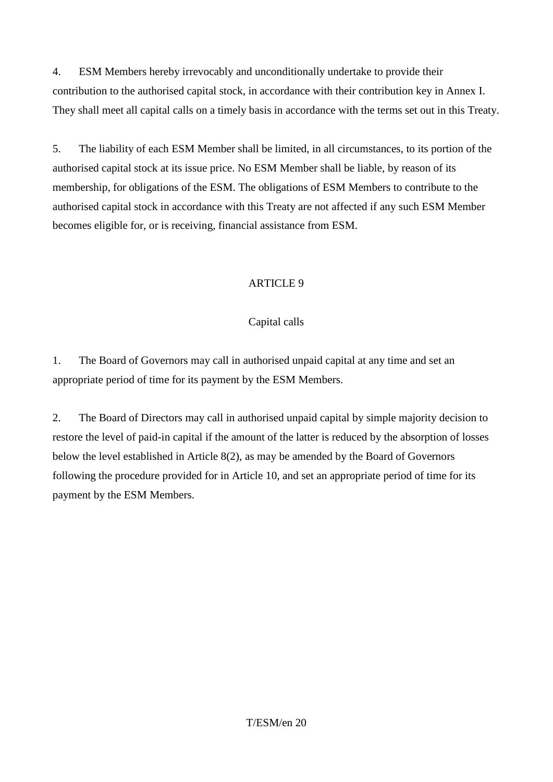4. ESM Members hereby irrevocably and unconditionally undertake to provide their contribution to the authorised capital stock, in accordance with their contribution key in Annex I. They shall meet all capital calls on a timely basis in accordance with the terms set out in this Treaty.

5. The liability of each ESM Member shall be limited, in all circumstances, to its portion of the authorised capital stock at its issue price. No ESM Member shall be liable, by reason of its membership, for obligations of the ESM. The obligations of ESM Members to contribute to the authorised capital stock in accordance with this Treaty are not affected if any such ESM Member becomes eligible for, or is receiving, financial assistance from ESM.

# ARTICLE 9

# Capital calls

1. The Board of Governors may call in authorised unpaid capital at any time and set an appropriate period of time for its payment by the ESM Members.

2. The Board of Directors may call in authorised unpaid capital by simple majority decision to restore the level of paid-in capital if the amount of the latter is reduced by the absorption of losses below the level established in Article 8(2), as may be amended by the Board of Governors following the procedure provided for in Article 10, and set an appropriate period of time for its payment by the ESM Members.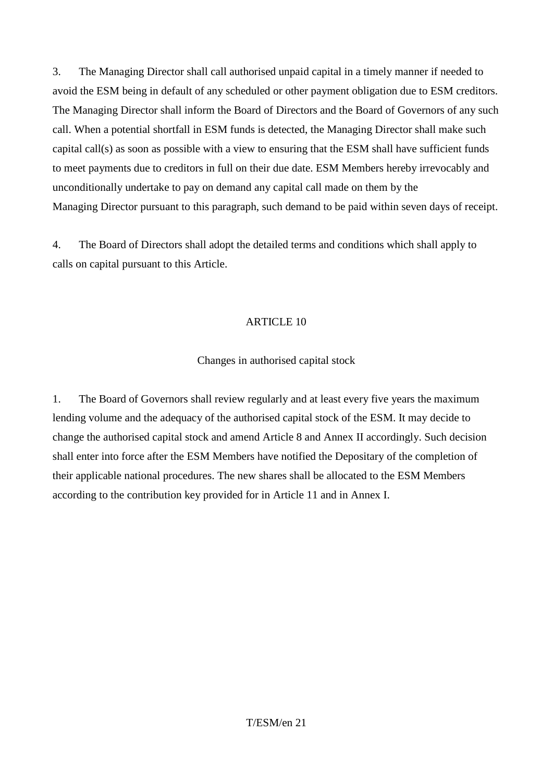3. The Managing Director shall call authorised unpaid capital in a timely manner if needed to avoid the ESM being in default of any scheduled or other payment obligation due to ESM creditors. The Managing Director shall inform the Board of Directors and the Board of Governors of any such call. When a potential shortfall in ESM funds is detected, the Managing Director shall make such capital call(s) as soon as possible with a view to ensuring that the ESM shall have sufficient funds to meet payments due to creditors in full on their due date. ESM Members hereby irrevocably and unconditionally undertake to pay on demand any capital call made on them by the Managing Director pursuant to this paragraph, such demand to be paid within seven days of receipt.

4. The Board of Directors shall adopt the detailed terms and conditions which shall apply to calls on capital pursuant to this Article.

### ARTICLE 10

### Changes in authorised capital stock

1. The Board of Governors shall review regularly and at least every five years the maximum lending volume and the adequacy of the authorised capital stock of the ESM. It may decide to change the authorised capital stock and amend Article 8 and Annex II accordingly. Such decision shall enter into force after the ESM Members have notified the Depositary of the completion of their applicable national procedures. The new shares shall be allocated to the ESM Members according to the contribution key provided for in Article 11 and in Annex I.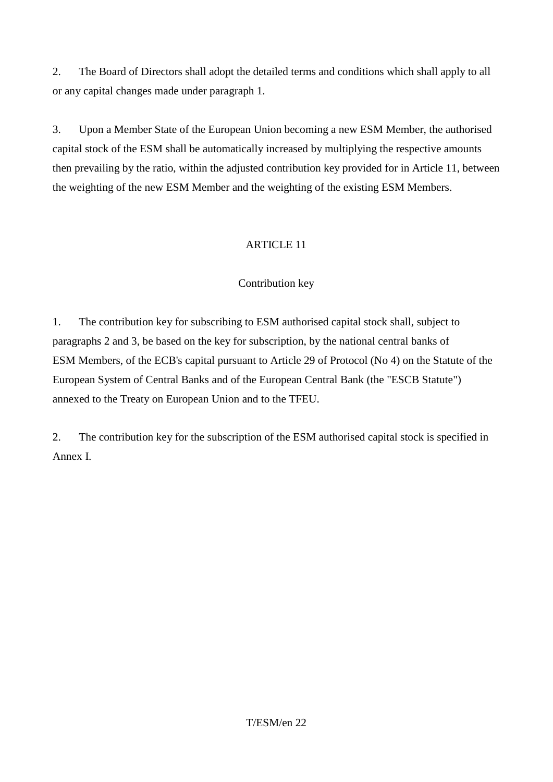2. The Board of Directors shall adopt the detailed terms and conditions which shall apply to all or any capital changes made under paragraph 1.

3. Upon a Member State of the European Union becoming a new ESM Member, the authorised capital stock of the ESM shall be automatically increased by multiplying the respective amounts then prevailing by the ratio, within the adjusted contribution key provided for in Article 11, between the weighting of the new ESM Member and the weighting of the existing ESM Members.

# ARTICLE 11

### Contribution key

1. The contribution key for subscribing to ESM authorised capital stock shall, subject to paragraphs 2 and 3, be based on the key for subscription, by the national central banks of ESM Members, of the ECB's capital pursuant to Article 29 of Protocol (No 4) on the Statute of the European System of Central Banks and of the European Central Bank (the "ESCB Statute") annexed to the Treaty on European Union and to the TFEU.

2. The contribution key for the subscription of the ESM authorised capital stock is specified in Annex I.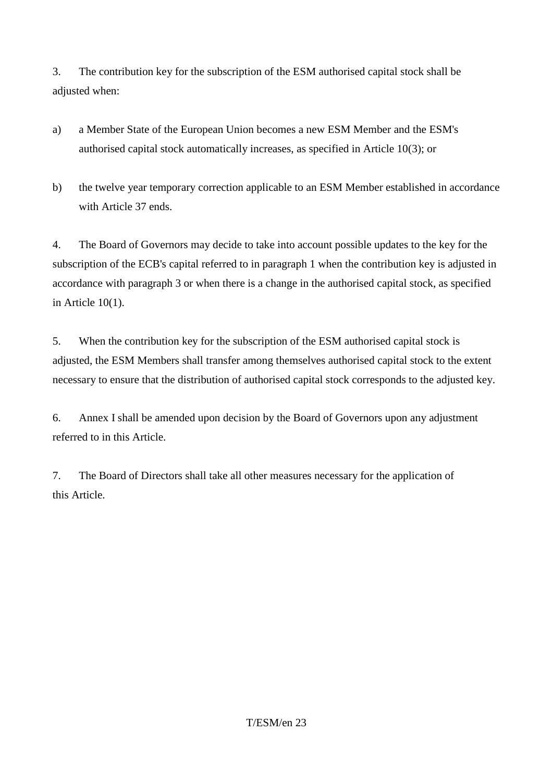3. The contribution key for the subscription of the ESM authorised capital stock shall be adjusted when:

- a) a Member State of the European Union becomes a new ESM Member and the ESM's authorised capital stock automatically increases, as specified in Article 10(3); or
- b) the twelve year temporary correction applicable to an ESM Member established in accordance with Article 37 ends.

4. The Board of Governors may decide to take into account possible updates to the key for the subscription of the ECB's capital referred to in paragraph 1 when the contribution key is adjusted in accordance with paragraph 3 or when there is a change in the authorised capital stock, as specified in Article 10(1).

5. When the contribution key for the subscription of the ESM authorised capital stock is adjusted, the ESM Members shall transfer among themselves authorised capital stock to the extent necessary to ensure that the distribution of authorised capital stock corresponds to the adjusted key.

6. Annex I shall be amended upon decision by the Board of Governors upon any adjustment referred to in this Article.

7. The Board of Directors shall take all other measures necessary for the application of this Article.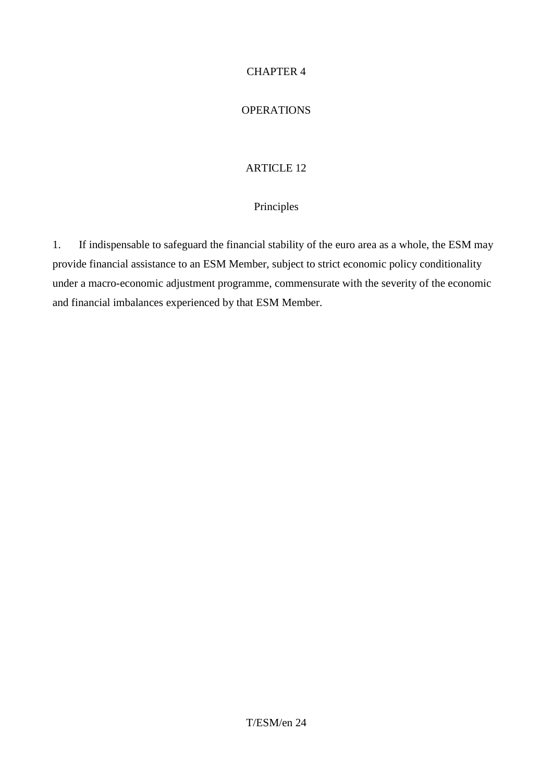### CHAPTER 4

### **OPERATIONS**

### ARTICLE 12

### Principles

1. If indispensable to safeguard the financial stability of the euro area as a whole, the ESM may provide financial assistance to an ESM Member, subject to strict economic policy conditionality under a macro-economic adjustment programme, commensurate with the severity of the economic and financial imbalances experienced by that ESM Member.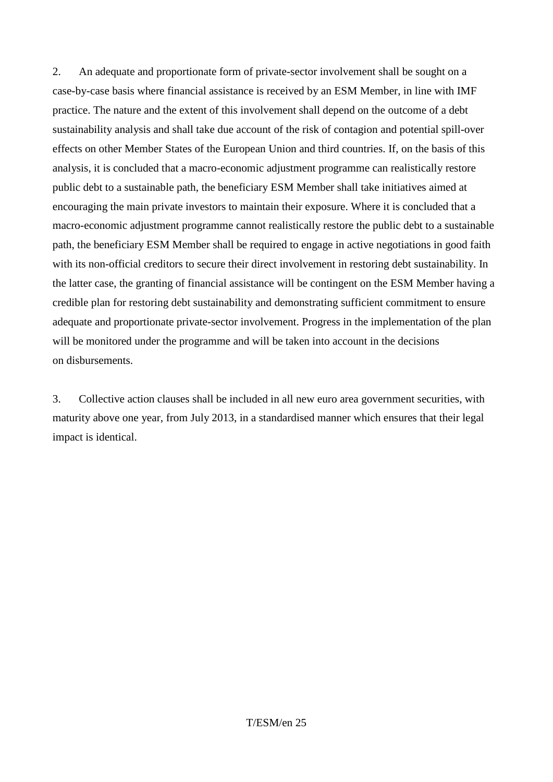2. An adequate and proportionate form of private-sector involvement shall be sought on a case-by-case basis where financial assistance is received by an ESM Member, in line with IMF practice. The nature and the extent of this involvement shall depend on the outcome of a debt sustainability analysis and shall take due account of the risk of contagion and potential spill-over effects on other Member States of the European Union and third countries. If, on the basis of this analysis, it is concluded that a macro-economic adjustment programme can realistically restore public debt to a sustainable path, the beneficiary ESM Member shall take initiatives aimed at encouraging the main private investors to maintain their exposure. Where it is concluded that a macro-economic adjustment programme cannot realistically restore the public debt to a sustainable path, the beneficiary ESM Member shall be required to engage in active negotiations in good faith with its non-official creditors to secure their direct involvement in restoring debt sustainability. In the latter case, the granting of financial assistance will be contingent on the ESM Member having a credible plan for restoring debt sustainability and demonstrating sufficient commitment to ensure adequate and proportionate private-sector involvement. Progress in the implementation of the plan will be monitored under the programme and will be taken into account in the decisions on disbursements.

3. Collective action clauses shall be included in all new euro area government securities, with maturity above one year, from July 2013, in a standardised manner which ensures that their legal impact is identical.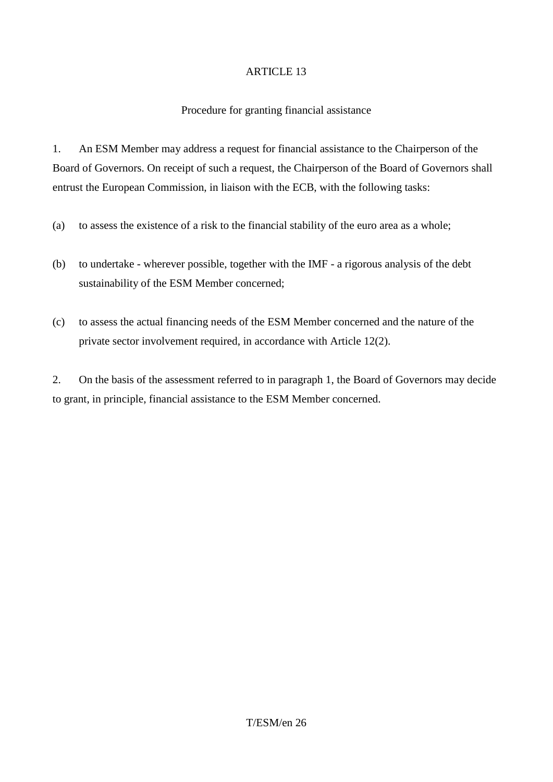### Procedure for granting financial assistance

1. An ESM Member may address a request for financial assistance to the Chairperson of the Board of Governors. On receipt of such a request, the Chairperson of the Board of Governors shall entrust the European Commission, in liaison with the ECB, with the following tasks:

- (a) to assess the existence of a risk to the financial stability of the euro area as a whole;
- (b) to undertake wherever possible, together with the IMF a rigorous analysis of the debt sustainability of the ESM Member concerned;
- (c) to assess the actual financing needs of the ESM Member concerned and the nature of the private sector involvement required, in accordance with Article 12(2).

2. On the basis of the assessment referred to in paragraph 1, the Board of Governors may decide to grant, in principle, financial assistance to the ESM Member concerned.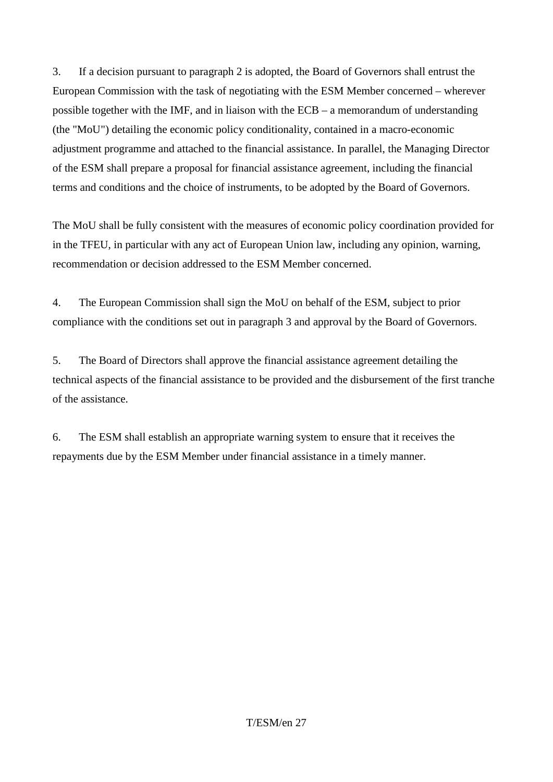3. If a decision pursuant to paragraph 2 is adopted, the Board of Governors shall entrust the European Commission with the task of negotiating with the ESM Member concerned – wherever possible together with the IMF, and in liaison with the ECB – a memorandum of understanding (the "MoU") detailing the economic policy conditionality, contained in a macro-economic adjustment programme and attached to the financial assistance. In parallel, the Managing Director of the ESM shall prepare a proposal for financial assistance agreement, including the financial terms and conditions and the choice of instruments, to be adopted by the Board of Governors.

The MoU shall be fully consistent with the measures of economic policy coordination provided for in the TFEU, in particular with any act of European Union law, including any opinion, warning, recommendation or decision addressed to the ESM Member concerned.

4. The European Commission shall sign the MoU on behalf of the ESM, subject to prior compliance with the conditions set out in paragraph 3 and approval by the Board of Governors.

5. The Board of Directors shall approve the financial assistance agreement detailing the technical aspects of the financial assistance to be provided and the disbursement of the first tranche of the assistance.

6. The ESM shall establish an appropriate warning system to ensure that it receives the repayments due by the ESM Member under financial assistance in a timely manner.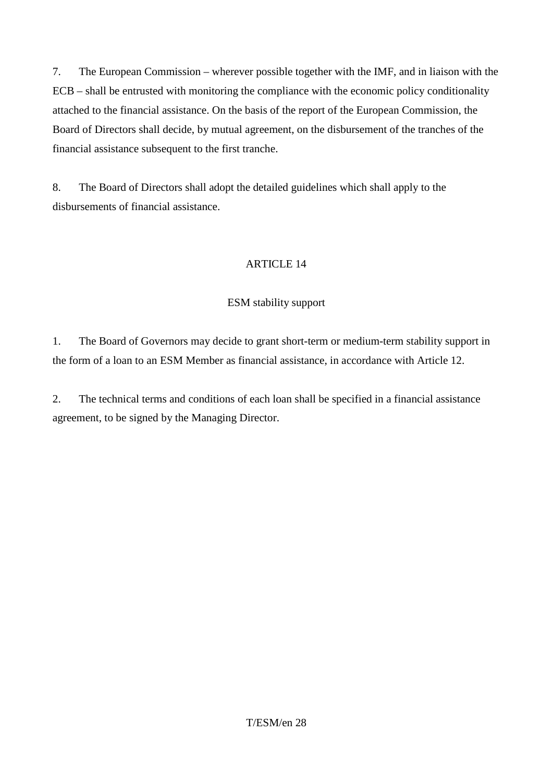7. The European Commission – wherever possible together with the IMF, and in liaison with the ECB – shall be entrusted with monitoring the compliance with the economic policy conditionality attached to the financial assistance. On the basis of the report of the European Commission, the Board of Directors shall decide, by mutual agreement, on the disbursement of the tranches of the financial assistance subsequent to the first tranche.

8. The Board of Directors shall adopt the detailed guidelines which shall apply to the disbursements of financial assistance.

### ARTICLE 14

### ESM stability support

1. The Board of Governors may decide to grant short-term or medium-term stability support in the form of a loan to an ESM Member as financial assistance, in accordance with Article 12.

2. The technical terms and conditions of each loan shall be specified in a financial assistance agreement, to be signed by the Managing Director.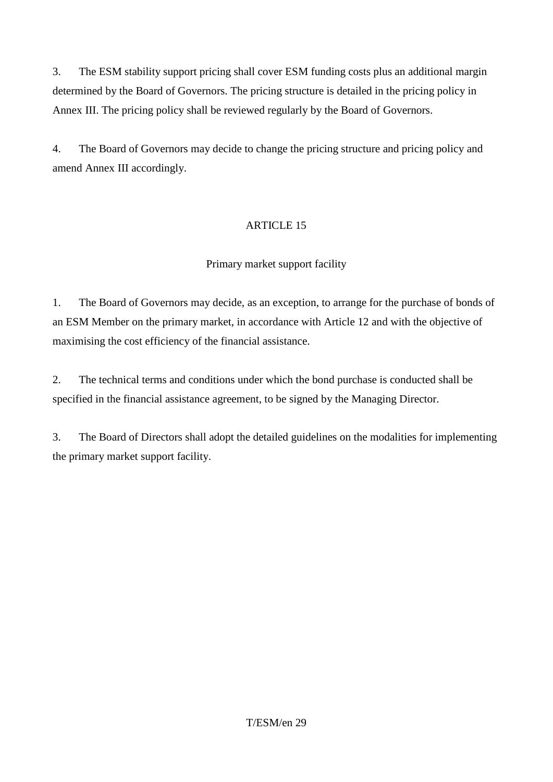3. The ESM stability support pricing shall cover ESM funding costs plus an additional margin determined by the Board of Governors. The pricing structure is detailed in the pricing policy in Annex III. The pricing policy shall be reviewed regularly by the Board of Governors.

4. The Board of Governors may decide to change the pricing structure and pricing policy and amend Annex III accordingly.

# ARTICLE 15

# Primary market support facility

1. The Board of Governors may decide, as an exception, to arrange for the purchase of bonds of an ESM Member on the primary market, in accordance with Article 12 and with the objective of maximising the cost efficiency of the financial assistance.

2. The technical terms and conditions under which the bond purchase is conducted shall be specified in the financial assistance agreement, to be signed by the Managing Director.

3. The Board of Directors shall adopt the detailed guidelines on the modalities for implementing the primary market support facility.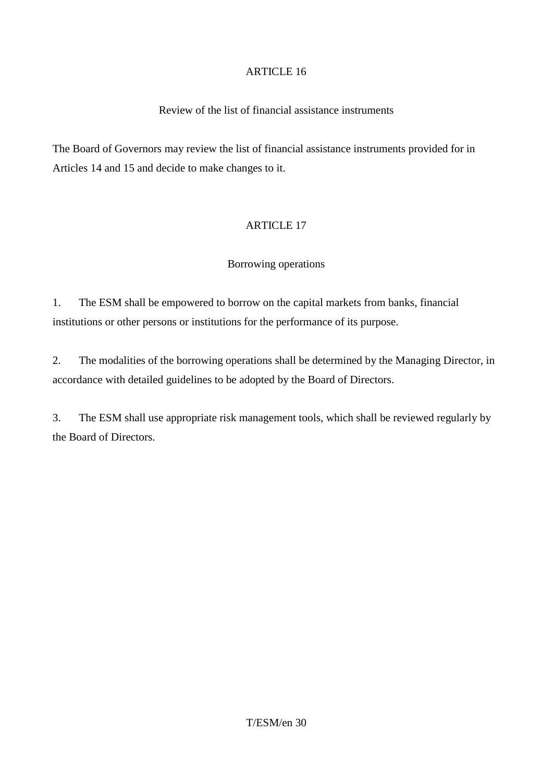### Review of the list of financial assistance instruments

The Board of Governors may review the list of financial assistance instruments provided for in Articles 14 and 15 and decide to make changes to it.

### ARTICLE 17

### Borrowing operations

1. The ESM shall be empowered to borrow on the capital markets from banks, financial institutions or other persons or institutions for the performance of its purpose.

2. The modalities of the borrowing operations shall be determined by the Managing Director, in accordance with detailed guidelines to be adopted by the Board of Directors.

3. The ESM shall use appropriate risk management tools, which shall be reviewed regularly by the Board of Directors.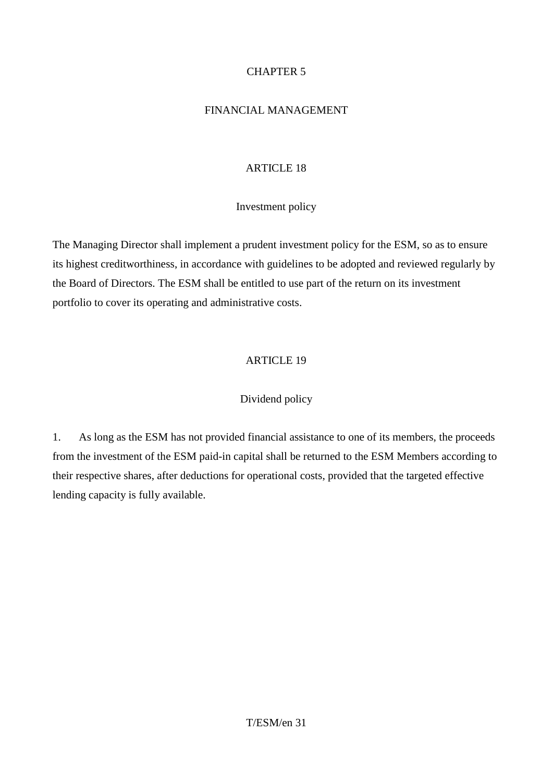### CHAPTER 5

### FINANCIAL MANAGEMENT

# ARTICLE 18

### Investment policy

The Managing Director shall implement a prudent investment policy for the ESM, so as to ensure its highest creditworthiness, in accordance with guidelines to be adopted and reviewed regularly by the Board of Directors. The ESM shall be entitled to use part of the return on its investment portfolio to cover its operating and administrative costs.

# ARTICLE 19

### Dividend policy

1. As long as the ESM has not provided financial assistance to one of its members, the proceeds from the investment of the ESM paid-in capital shall be returned to the ESM Members according to their respective shares, after deductions for operational costs, provided that the targeted effective lending capacity is fully available.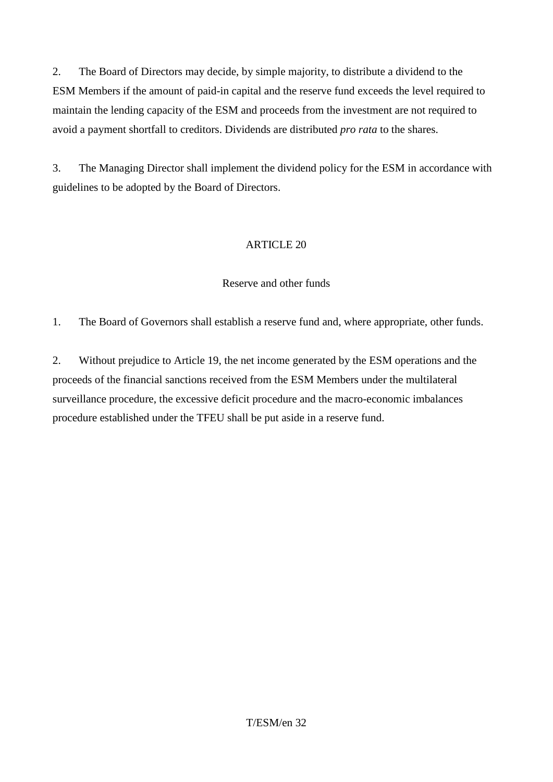2. The Board of Directors may decide, by simple majority, to distribute a dividend to the ESM Members if the amount of paid-in capital and the reserve fund exceeds the level required to maintain the lending capacity of the ESM and proceeds from the investment are not required to avoid a payment shortfall to creditors. Dividends are distributed *pro rata* to the shares.

3. The Managing Director shall implement the dividend policy for the ESM in accordance with guidelines to be adopted by the Board of Directors.

# ARTICLE 20

# Reserve and other funds

1. The Board of Governors shall establish a reserve fund and, where appropriate, other funds.

2. Without prejudice to Article 19, the net income generated by the ESM operations and the proceeds of the financial sanctions received from the ESM Members under the multilateral surveillance procedure, the excessive deficit procedure and the macro-economic imbalances procedure established under the TFEU shall be put aside in a reserve fund.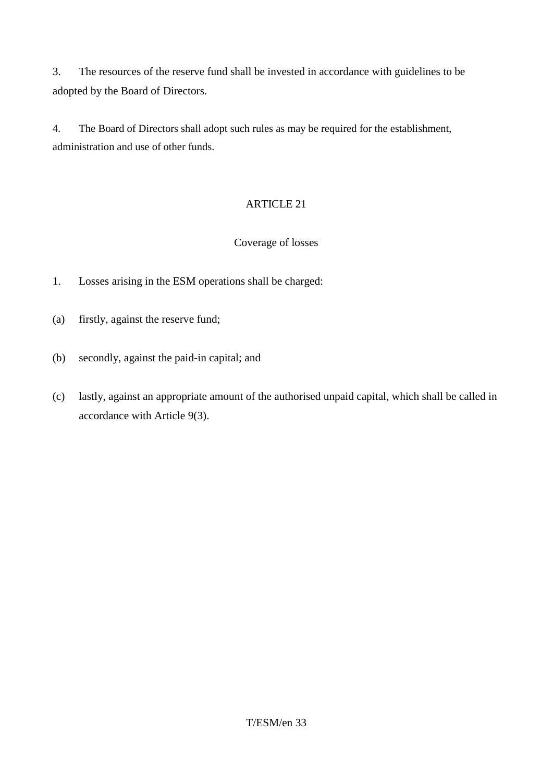3. The resources of the reserve fund shall be invested in accordance with guidelines to be adopted by the Board of Directors.

4. The Board of Directors shall adopt such rules as may be required for the establishment, administration and use of other funds.

# ARTICLE 21

### Coverage of losses

- 1. Losses arising in the ESM operations shall be charged:
- (a) firstly, against the reserve fund;
- (b) secondly, against the paid-in capital; and
- (c) lastly, against an appropriate amount of the authorised unpaid capital, which shall be called in accordance with Article 9(3).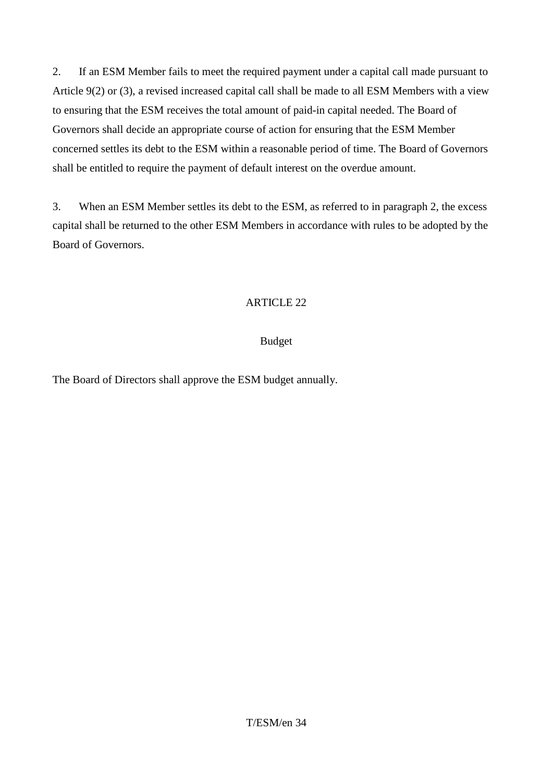2. If an ESM Member fails to meet the required payment under a capital call made pursuant to Article 9(2) or (3), a revised increased capital call shall be made to all ESM Members with a view to ensuring that the ESM receives the total amount of paid-in capital needed. The Board of Governors shall decide an appropriate course of action for ensuring that the ESM Member concerned settles its debt to the ESM within a reasonable period of time. The Board of Governors shall be entitled to require the payment of default interest on the overdue amount.

3. When an ESM Member settles its debt to the ESM, as referred to in paragraph 2, the excess capital shall be returned to the other ESM Members in accordance with rules to be adopted by the Board of Governors.

# ARTICLE 22

# Budget

The Board of Directors shall approve the ESM budget annually.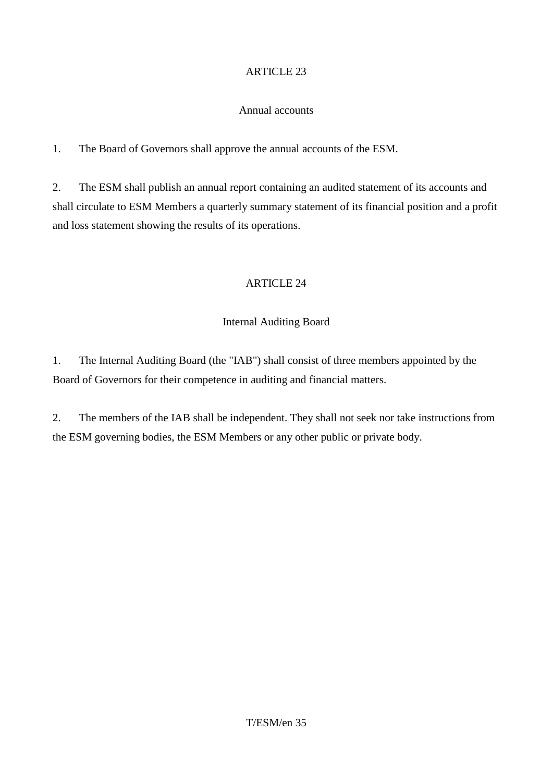### Annual accounts

1. The Board of Governors shall approve the annual accounts of the ESM.

2. The ESM shall publish an annual report containing an audited statement of its accounts and shall circulate to ESM Members a quarterly summary statement of its financial position and a profit and loss statement showing the results of its operations.

### ARTICLE 24

### Internal Auditing Board

1. The Internal Auditing Board (the "IAB") shall consist of three members appointed by the Board of Governors for their competence in auditing and financial matters.

2. The members of the IAB shall be independent. They shall not seek nor take instructions from the ESM governing bodies, the ESM Members or any other public or private body.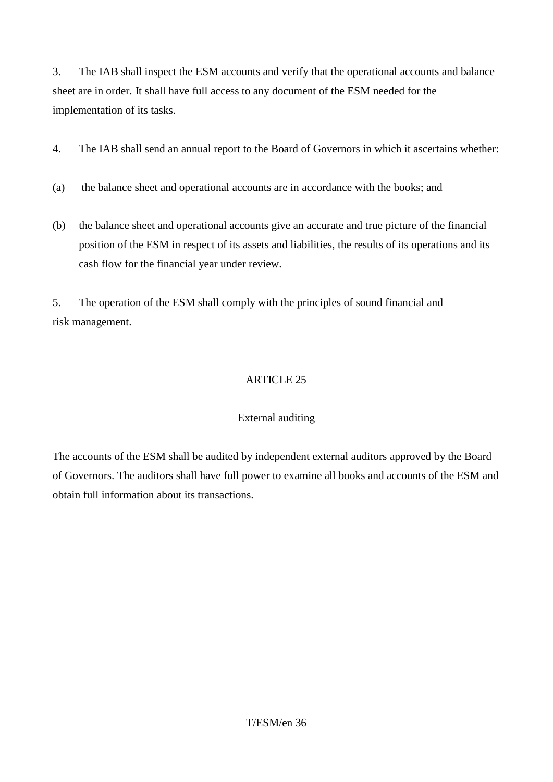3. The IAB shall inspect the ESM accounts and verify that the operational accounts and balance sheet are in order. It shall have full access to any document of the ESM needed for the implementation of its tasks.

4. The IAB shall send an annual report to the Board of Governors in which it ascertains whether:

- (a) the balance sheet and operational accounts are in accordance with the books; and
- (b) the balance sheet and operational accounts give an accurate and true picture of the financial position of the ESM in respect of its assets and liabilities, the results of its operations and its cash flow for the financial year under review.

5. The operation of the ESM shall comply with the principles of sound financial and risk management.

# ARTICLE 25

# External auditing

The accounts of the ESM shall be audited by independent external auditors approved by the Board of Governors. The auditors shall have full power to examine all books and accounts of the ESM and obtain full information about its transactions.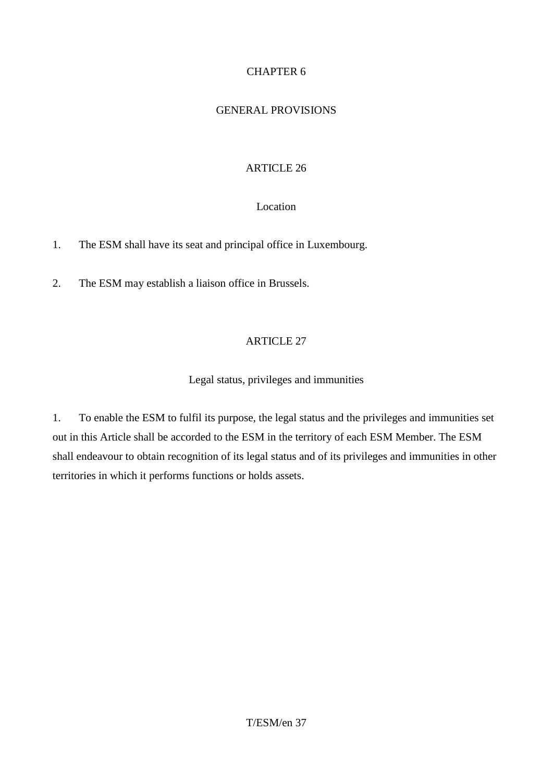# CHAPTER 6

### GENERAL PROVISIONS

### ARTICLE 26

### Location

1. The ESM shall have its seat and principal office in Luxembourg.

2. The ESM may establish a liaison office in Brussels.

# ARTICLE 27

### Legal status, privileges and immunities

1. To enable the ESM to fulfil its purpose, the legal status and the privileges and immunities set out in this Article shall be accorded to the ESM in the territory of each ESM Member. The ESM shall endeavour to obtain recognition of its legal status and of its privileges and immunities in other territories in which it performs functions or holds assets.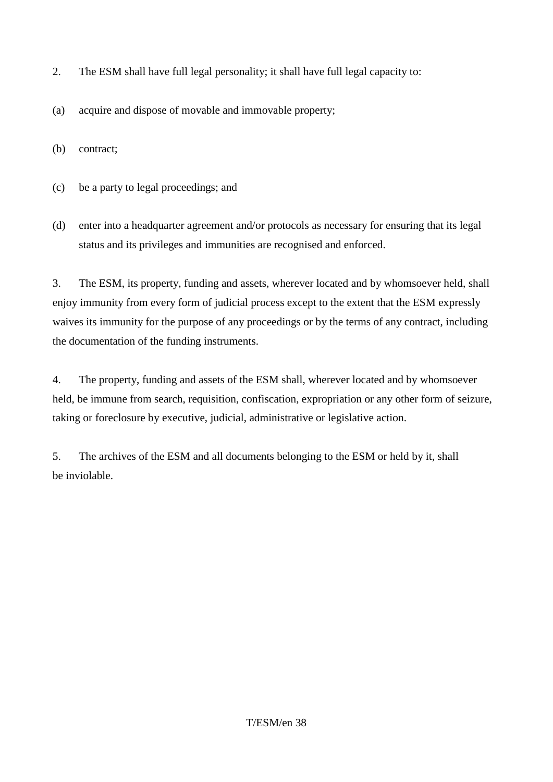- 2. The ESM shall have full legal personality; it shall have full legal capacity to:
- (a) acquire and dispose of movable and immovable property;

(b) contract;

- (c) be a party to legal proceedings; and
- (d) enter into a headquarter agreement and/or protocols as necessary for ensuring that its legal status and its privileges and immunities are recognised and enforced.

3. The ESM, its property, funding and assets, wherever located and by whomsoever held, shall enjoy immunity from every form of judicial process except to the extent that the ESM expressly waives its immunity for the purpose of any proceedings or by the terms of any contract, including the documentation of the funding instruments.

4. The property, funding and assets of the ESM shall, wherever located and by whomsoever held, be immune from search, requisition, confiscation, expropriation or any other form of seizure, taking or foreclosure by executive, judicial, administrative or legislative action.

5. The archives of the ESM and all documents belonging to the ESM or held by it, shall be inviolable.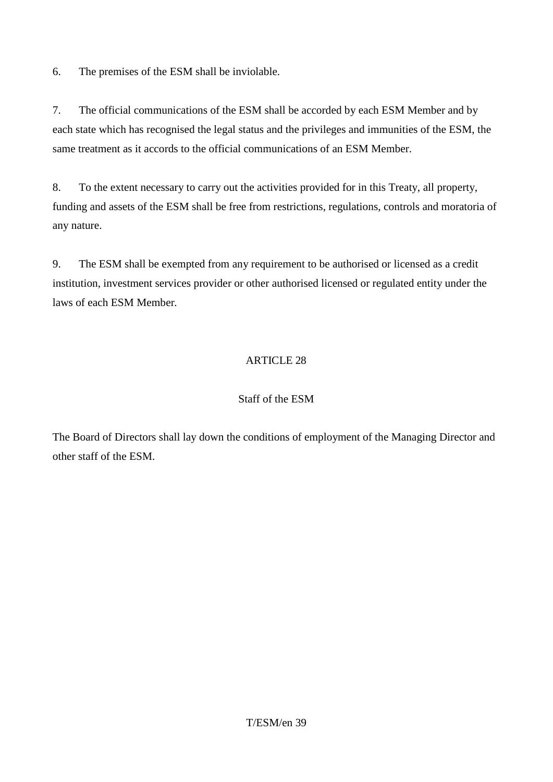6. The premises of the ESM shall be inviolable.

7. The official communications of the ESM shall be accorded by each ESM Member and by each state which has recognised the legal status and the privileges and immunities of the ESM, the same treatment as it accords to the official communications of an ESM Member.

8. To the extent necessary to carry out the activities provided for in this Treaty, all property, funding and assets of the ESM shall be free from restrictions, regulations, controls and moratoria of any nature.

9. The ESM shall be exempted from any requirement to be authorised or licensed as a credit institution, investment services provider or other authorised licensed or regulated entity under the laws of each ESM Member*.*

# ARTICLE 28

### Staff of the ESM

The Board of Directors shall lay down the conditions of employment of the Managing Director and other staff of the ESM.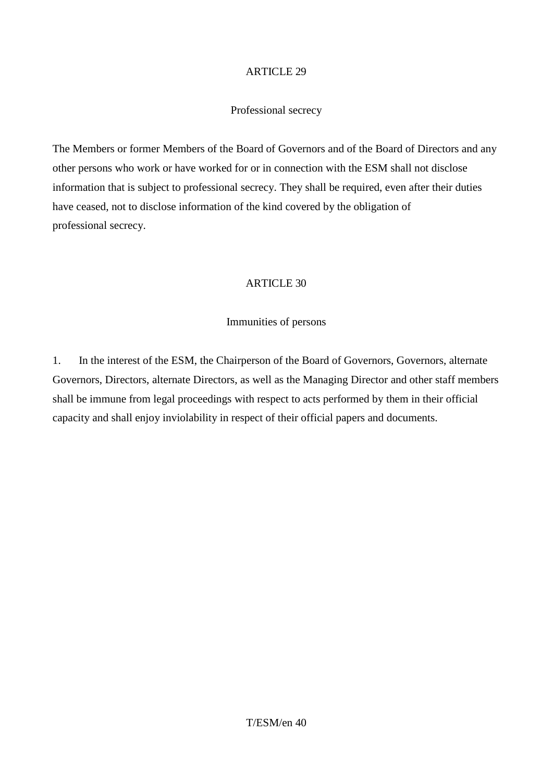### Professional secrecy

The Members or former Members of the Board of Governors and of the Board of Directors and any other persons who work or have worked for or in connection with the ESM shall not disclose information that is subject to professional secrecy. They shall be required, even after their duties have ceased, not to disclose information of the kind covered by the obligation of professional secrecy.

### ARTICLE 30

### Immunities of persons

1. In the interest of the ESM, the Chairperson of the Board of Governors, Governors, alternate Governors, Directors, alternate Directors, as well as the Managing Director and other staff members shall be immune from legal proceedings with respect to acts performed by them in their official capacity and shall enjoy inviolability in respect of their official papers and documents.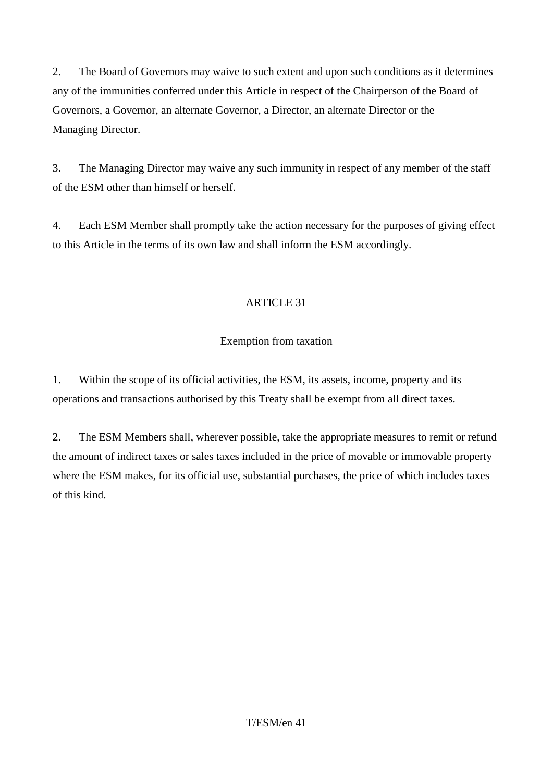2. The Board of Governors may waive to such extent and upon such conditions as it determines any of the immunities conferred under this Article in respect of the Chairperson of the Board of Governors, a Governor, an alternate Governor, a Director, an alternate Director or the Managing Director.

3. The Managing Director may waive any such immunity in respect of any member of the staff of the ESM other than himself or herself.

4. Each ESM Member shall promptly take the action necessary for the purposes of giving effect to this Article in the terms of its own law and shall inform the ESM accordingly.

# **ARTICLE 31**

# Exemption from taxation

1. Within the scope of its official activities, the ESM, its assets, income, property and its operations and transactions authorised by this Treaty shall be exempt from all direct taxes.

2. The ESM Members shall, wherever possible, take the appropriate measures to remit or refund the amount of indirect taxes or sales taxes included in the price of movable or immovable property where the ESM makes, for its official use, substantial purchases, the price of which includes taxes of this kind.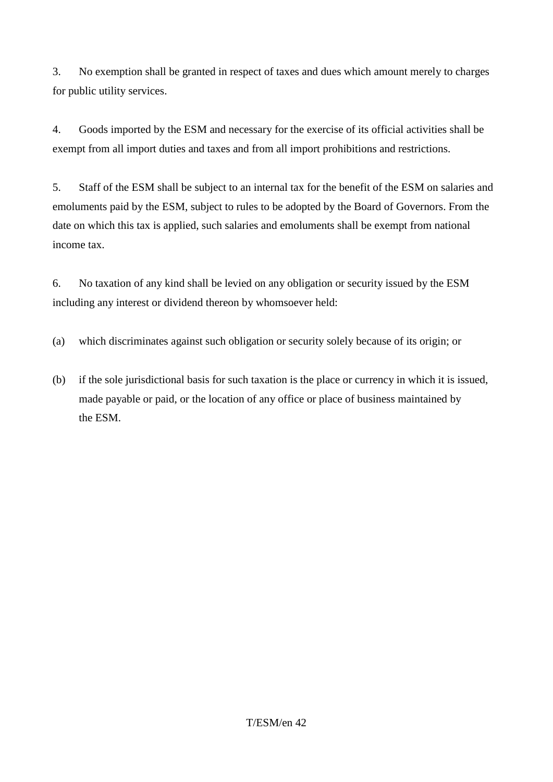3. No exemption shall be granted in respect of taxes and dues which amount merely to charges for public utility services.

4. Goods imported by the ESM and necessary for the exercise of its official activities shall be exempt from all import duties and taxes and from all import prohibitions and restrictions.

5. Staff of the ESM shall be subject to an internal tax for the benefit of the ESM on salaries and emoluments paid by the ESM, subject to rules to be adopted by the Board of Governors. From the date on which this tax is applied, such salaries and emoluments shall be exempt from national income tax.

6. No taxation of any kind shall be levied on any obligation or security issued by the ESM including any interest or dividend thereon by whomsoever held:

(a) which discriminates against such obligation or security solely because of its origin; or

(b) if the sole jurisdictional basis for such taxation is the place or currency in which it is issued, made payable or paid, or the location of any office or place of business maintained by the ESM.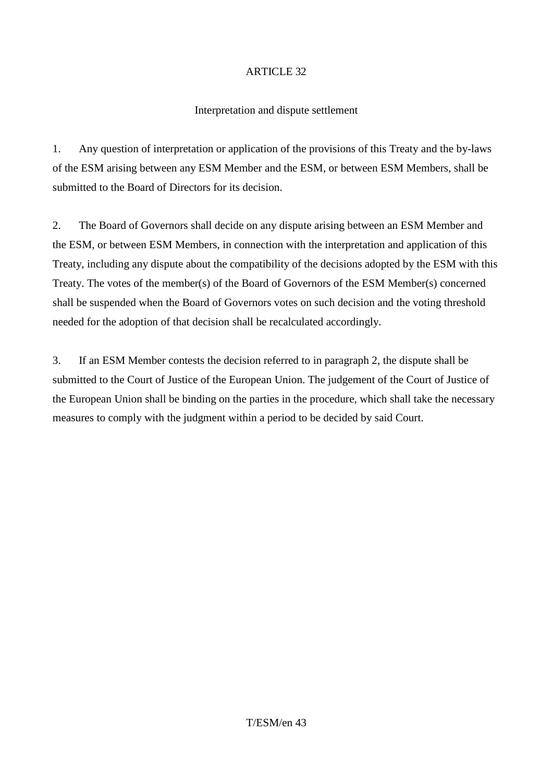### Interpretation and dispute settlement

1. Any question of interpretation or application of the provisions of this Treaty and the by-laws of the ESM arising between any ESM Member and the ESM, or between ESM Members, shall be submitted to the Board of Directors for its decision.

2. The Board of Governors shall decide on any dispute arising between an ESM Member and the ESM, or between ESM Members, in connection with the interpretation and application of this Treaty, including any dispute about the compatibility of the decisions adopted by the ESM with this Treaty. The votes of the member(s) of the Board of Governors of the ESM Member(s) concerned shall be suspended when the Board of Governors votes on such decision and the voting threshold needed for the adoption of that decision shall be recalculated accordingly.

3. If an ESM Member contests the decision referred to in paragraph 2, the dispute shall be submitted to the Court of Justice of the European Union. The judgement of the Court of Justice of the European Union shall be binding on the parties in the procedure, which shall take the necessary measures to comply with the judgment within a period to be decided by said Court.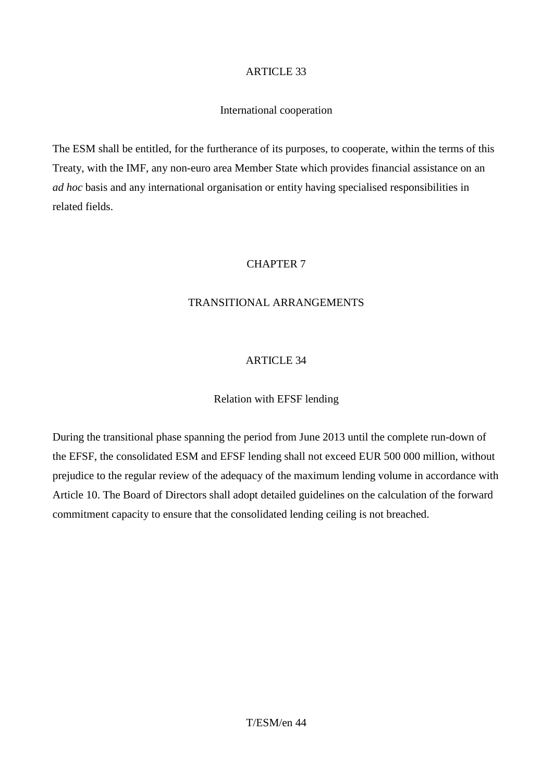### International cooperation

The ESM shall be entitled, for the furtherance of its purposes, to cooperate, within the terms of this Treaty, with the IMF, any non-euro area Member State which provides financial assistance on an *ad hoc* basis and any international organisation or entity having specialised responsibilities in related fields.

### CHAPTER 7

# TRANSITIONAL ARRANGEMENTS

### ARTICLE 34

### Relation with EFSF lending

During the transitional phase spanning the period from June 2013 until the complete run-down of the EFSF, the consolidated ESM and EFSF lending shall not exceed EUR 500 000 million, without prejudice to the regular review of the adequacy of the maximum lending volume in accordance with Article 10. The Board of Directors shall adopt detailed guidelines on the calculation of the forward commitment capacity to ensure that the consolidated lending ceiling is not breached.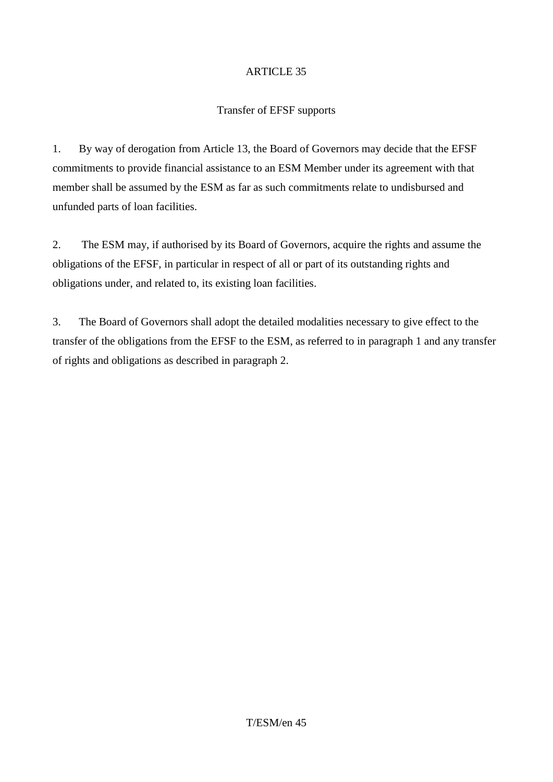### Transfer of EFSF supports

1. By way of derogation from Article 13, the Board of Governors may decide that the EFSF commitments to provide financial assistance to an ESM Member under its agreement with that member shall be assumed by the ESM as far as such commitments relate to undisbursed and unfunded parts of loan facilities.

2. The ESM may, if authorised by its Board of Governors, acquire the rights and assume the obligations of the EFSF, in particular in respect of all or part of its outstanding rights and obligations under, and related to, its existing loan facilities.

3. The Board of Governors shall adopt the detailed modalities necessary to give effect to the transfer of the obligations from the EFSF to the ESM, as referred to in paragraph 1 and any transfer of rights and obligations as described in paragraph 2.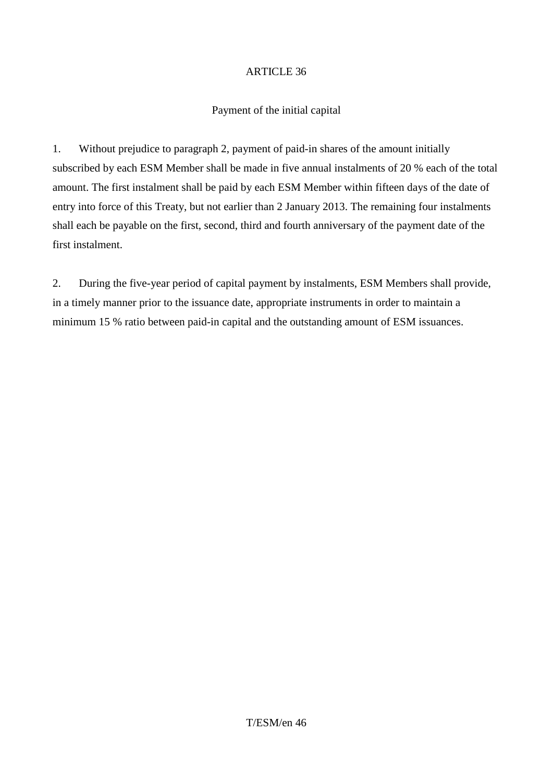### Payment of the initial capital

1. Without prejudice to paragraph 2, payment of paid-in shares of the amount initially subscribed by each ESM Member shall be made in five annual instalments of 20 % each of the total amount. The first instalment shall be paid by each ESM Member within fifteen days of the date of entry into force of this Treaty, but not earlier than 2 January 2013. The remaining four instalments shall each be payable on the first, second, third and fourth anniversary of the payment date of the first instalment.

2. During the five-year period of capital payment by instalments, ESM Members shall provide, in a timely manner prior to the issuance date, appropriate instruments in order to maintain a minimum 15 % ratio between paid-in capital and the outstanding amount of ESM issuances.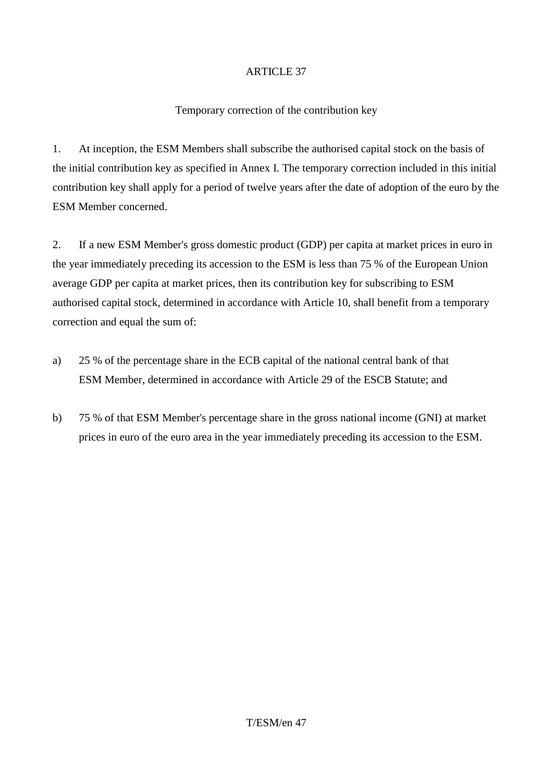### Temporary correction of the contribution key

1. At inception, the ESM Members shall subscribe the authorised capital stock on the basis of the initial contribution key as specified in Annex I. The temporary correction included in this initial contribution key shall apply for a period of twelve years after the date of adoption of the euro by the ESM Member concerned.

2. If a new ESM Member's gross domestic product (GDP) per capita at market prices in euro in the year immediately preceding its accession to the ESM is less than 75 % of the European Union average GDP per capita at market prices, then its contribution key for subscribing to ESM authorised capital stock, determined in accordance with Article 10, shall benefit from a temporary correction and equal the sum of:

- a) 25 % of the percentage share in the ECB capital of the national central bank of that ESM Member, determined in accordance with Article 29 of the ESCB Statute; and
- b) 75 % of that ESM Member's percentage share in the gross national income (GNI) at market prices in euro of the euro area in the year immediately preceding its accession to the ESM.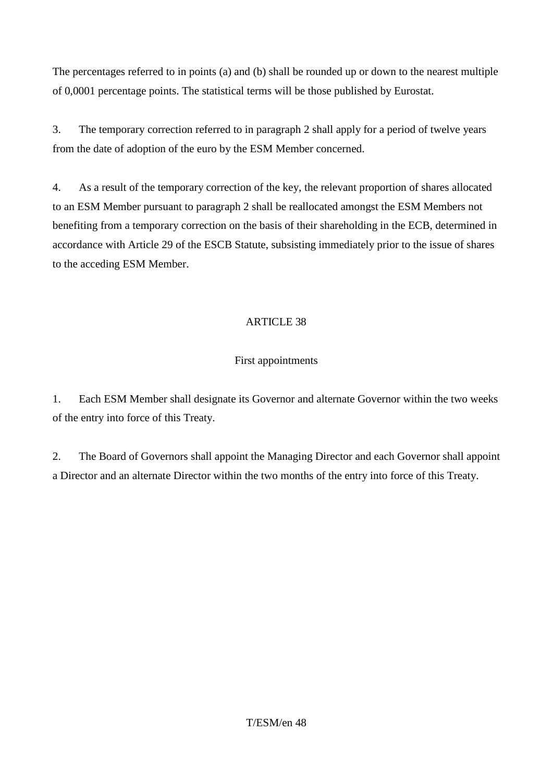The percentages referred to in points (a) and (b) shall be rounded up or down to the nearest multiple of 0,0001 percentage points. The statistical terms will be those published by Eurostat.

3. The temporary correction referred to in paragraph 2 shall apply for a period of twelve years from the date of adoption of the euro by the ESM Member concerned.

4. As a result of the temporary correction of the key, the relevant proportion of shares allocated to an ESM Member pursuant to paragraph 2 shall be reallocated amongst the ESM Members not benefiting from a temporary correction on the basis of their shareholding in the ECB, determined in accordance with Article 29 of the ESCB Statute, subsisting immediately prior to the issue of shares to the acceding ESM Member.

# ARTICLE 38

# First appointments

1. Each ESM Member shall designate its Governor and alternate Governor within the two weeks of the entry into force of this Treaty.

2. The Board of Governors shall appoint the Managing Director and each Governor shall appoint a Director and an alternate Director within the two months of the entry into force of this Treaty.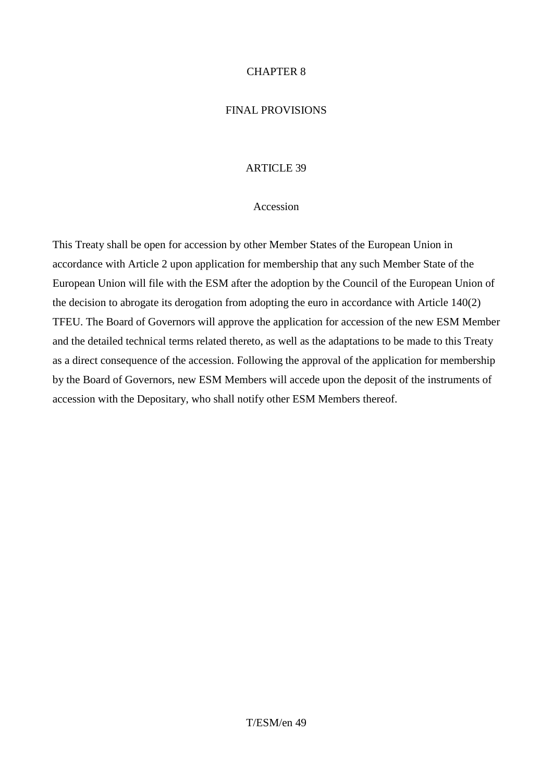### CHAPTER 8

### FINAL PROVISIONS

### ARTICLE 39

#### Accession

This Treaty shall be open for accession by other Member States of the European Union in accordance with Article 2 upon application for membership that any such Member State of the European Union will file with the ESM after the adoption by the Council of the European Union of the decision to abrogate its derogation from adopting the euro in accordance with Article 140(2) TFEU. The Board of Governors will approve the application for accession of the new ESM Member and the detailed technical terms related thereto, as well as the adaptations to be made to this Treaty as a direct consequence of the accession. Following the approval of the application for membership by the Board of Governors, new ESM Members will accede upon the deposit of the instruments of accession with the Depositary, who shall notify other ESM Members thereof.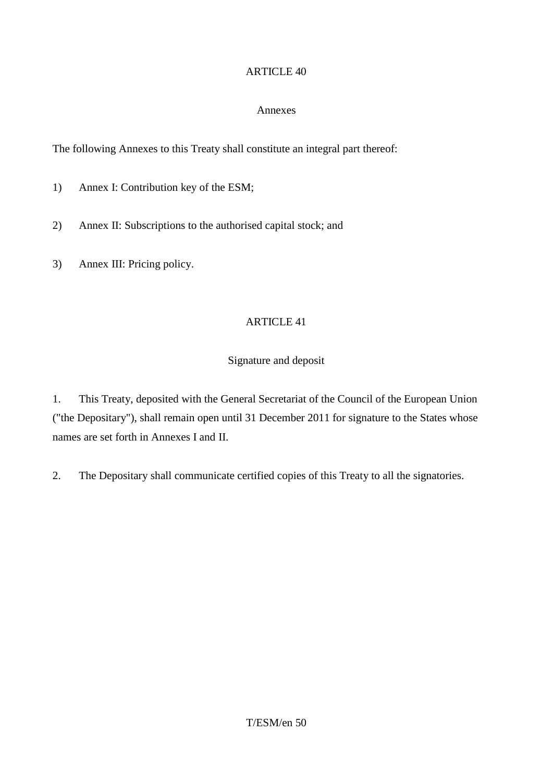### Annexes

The following Annexes to this Treaty shall constitute an integral part thereof:

1) Annex I: Contribution key of the ESM;

- 2) Annex II: Subscriptions to the authorised capital stock; and
- 3) Annex III: Pricing policy.

### ARTICLE 41

### Signature and deposit

1. This Treaty, deposited with the General Secretariat of the Council of the European Union ("the Depositary"), shall remain open until 31 December 2011 for signature to the States whose names are set forth in Annexes I and II.

2. The Depositary shall communicate certified copies of this Treaty to all the signatories.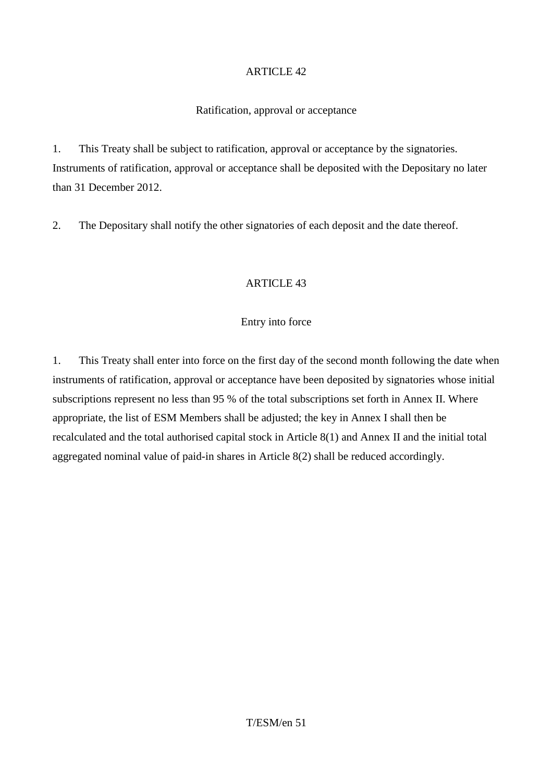### Ratification, approval or acceptance

1. This Treaty shall be subject to ratification, approval or acceptance by the signatories. Instruments of ratification, approval or acceptance shall be deposited with the Depositary no later than 31 December 2012.

2. The Depositary shall notify the other signatories of each deposit and the date thereof.

# ARTICLE 43

### Entry into force

1. This Treaty shall enter into force on the first day of the second month following the date when instruments of ratification, approval or acceptance have been deposited by signatories whose initial subscriptions represent no less than 95 % of the total subscriptions set forth in Annex II. Where appropriate, the list of ESM Members shall be adjusted; the key in Annex I shall then be recalculated and the total authorised capital stock in Article 8(1) and Annex II and the initial total aggregated nominal value of paid-in shares in Article 8(2) shall be reduced accordingly.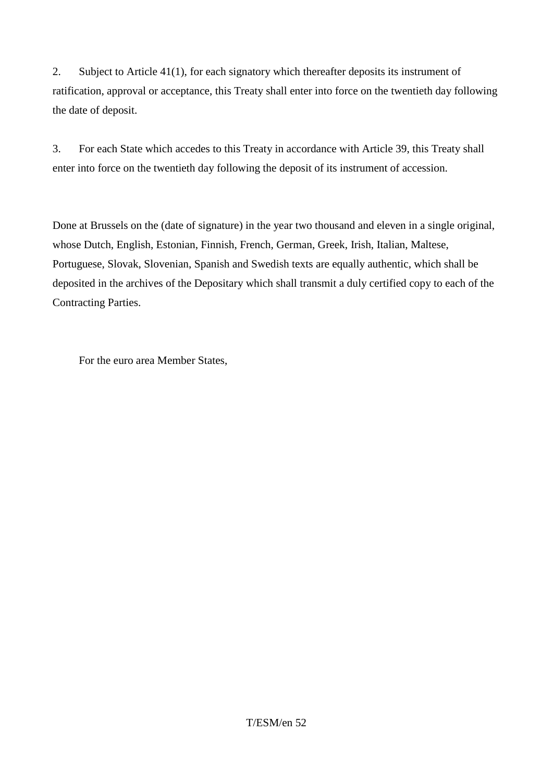2. Subject to Article 41(1), for each signatory which thereafter deposits its instrument of ratification, approval or acceptance, this Treaty shall enter into force on the twentieth day following the date of deposit.

3. For each State which accedes to this Treaty in accordance with Article 39, this Treaty shall enter into force on the twentieth day following the deposit of its instrument of accession.

Done at Brussels on the (date of signature) in the year two thousand and eleven in a single original, whose Dutch, English, Estonian, Finnish, French, German, Greek, Irish, Italian, Maltese, Portuguese, Slovak, Slovenian, Spanish and Swedish texts are equally authentic, which shall be deposited in the archives of the Depositary which shall transmit a duly certified copy to each of the Contracting Parties.

For the euro area Member States,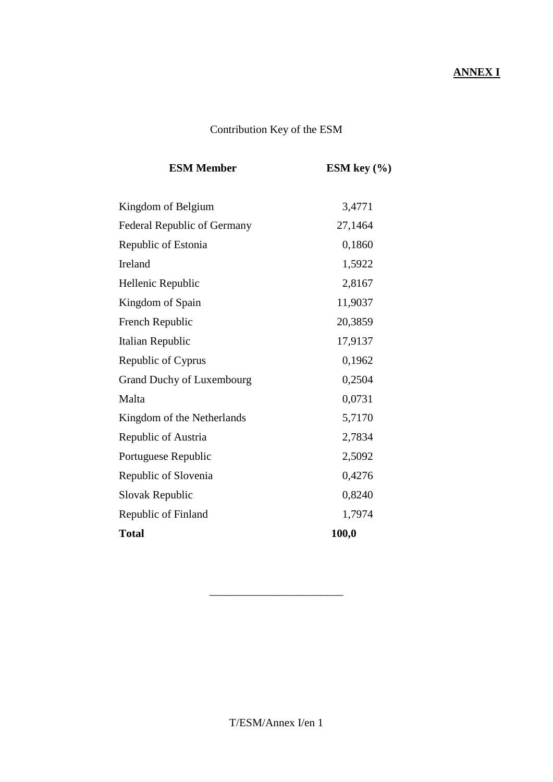# **ANNEX I**

# Contribution Key of the ESM

| ESM key $(\% )$ |  |
|-----------------|--|
| 3,4771          |  |
| 27,1464         |  |
| 0,1860          |  |
| 1,5922          |  |
| 2,8167          |  |
| 11,9037         |  |
| 20,3859         |  |
| 17,9137         |  |
| 0,1962          |  |
| 0,2504          |  |
| 0,0731          |  |
| 5,7170          |  |
| 2,7834          |  |
| 2,5092          |  |
| 0,4276          |  |
| 0,8240          |  |
| 1,7974          |  |
| 100,0           |  |
|                 |  |

\_\_\_\_\_\_\_\_\_\_\_\_\_\_\_\_\_\_\_\_\_\_\_\_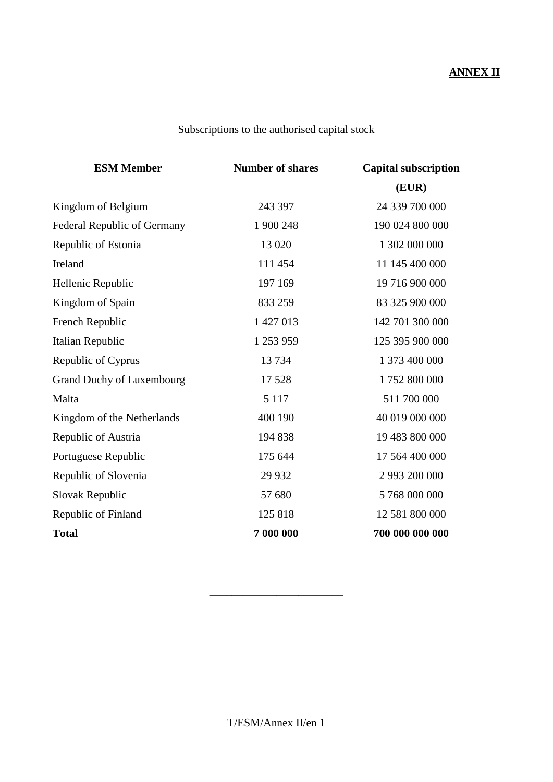# **ANNEX II**

# Subscriptions to the authorised capital stock

| <b>ESM Member</b>                  | <b>Number of shares</b> | <b>Capital subscription</b> |  |
|------------------------------------|-------------------------|-----------------------------|--|
|                                    |                         | (EUR)                       |  |
| Kingdom of Belgium                 | 243 397                 | 24 339 700 000              |  |
| <b>Federal Republic of Germany</b> | 1 900 248               | 190 024 800 000             |  |
| Republic of Estonia                | 13 0 20                 | 1 302 000 000               |  |
| Ireland                            | 111 454                 | 11 145 400 000              |  |
| Hellenic Republic                  | 197 169                 | 19 716 900 000              |  |
| Kingdom of Spain                   | 833 259                 | 83 325 900 000              |  |
| French Republic                    | 1 427 013               | 142 701 300 000             |  |
| Italian Republic                   | 1 253 959               | 125 395 900 000             |  |
| Republic of Cyprus                 | 13734                   | 1 373 400 000               |  |
| <b>Grand Duchy of Luxembourg</b>   | 17528                   | 1752 800 000                |  |
| Malta                              | 5 1 1 7                 | 511 700 000                 |  |
| Kingdom of the Netherlands         | 400 190                 | 40 019 000 000              |  |
| Republic of Austria                | 194 838                 | 19 483 800 000              |  |
| Portuguese Republic                | 175 644                 | 17 564 400 000              |  |
| Republic of Slovenia               | 29 9 32                 | 2 993 200 000               |  |
| Slovak Republic                    | 57 680                  | 5 768 000 000               |  |
| Republic of Finland                | 125 818                 | 12 581 800 000              |  |
| <b>Total</b>                       | 7 000 000               | 700 000 000 000             |  |

\_\_\_\_\_\_\_\_\_\_\_\_\_\_\_\_\_\_\_\_\_\_\_\_